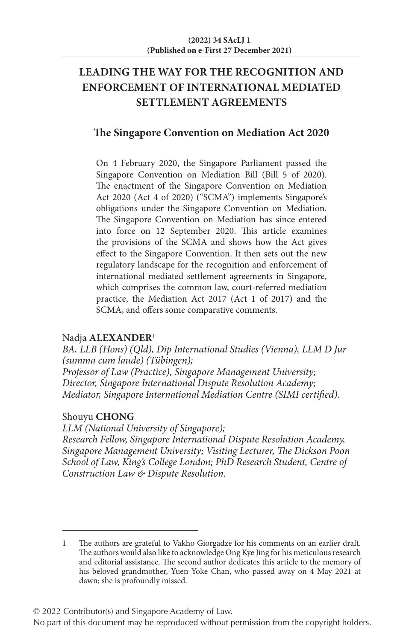# **LEADING THE WAY FOR THE RECOGNITION AND ENFORCEMENT OF INTERNATIONAL MEDIATED SETTLEMENT AGREEMENTS**

# **The Singapore Convention on Mediation Act 2020**

On 4 February 2020, the Singapore Parliament passed the Singapore Convention on Mediation Bill (Bill 5 of 2020). The enactment of the Singapore Convention on Mediation Act 2020 (Act 4 of 2020) ("SCMA") implements Singapore's obligations under the Singapore Convention on Mediation. The Singapore Convention on Mediation has since entered into force on 12 September 2020. This article examines the provisions of the SCMA and shows how the Act gives effect to the Singapore Convention. It then sets out the new regulatory landscape for the recognition and enforcement of international mediated settlement agreements in Singapore, which comprises the common law, court-referred mediation practice, the Mediation Act 2017 (Act 1 of 2017) and the SCMA, and offers some comparative comments.

#### Nadja **ALEXANDER**<sup>1</sup>

*BA, LLB (Hons) (Qld), Dip International Studies (Vienna), LLM D Jur (summa cum laude) (Tübingen); Professor of Law (Practice), Singapore Management University; Director, Singapore International Dispute Resolution Academy; Mediator, Singapore International Mediation Centre (SIMI certified).*

#### Shouyu **CHONG**

*LLM (National University of Singapore); Research Fellow, Singapore International Dispute Resolution Academy, Singapore Management University; Visiting Lecturer, The Dickson Poon School of Law, King's College London; PhD Research Student, Centre of Construction Law & Dispute Resolution.*

© 2022 Contributor(s) and Singapore Academy of Law.

<sup>1</sup> The authors are grateful to Vakho Giorgadze for his comments on an earlier draft. The authors would also like to acknowledge Ong Kye Jing for his meticulous research and editorial assistance. The second author dedicates this article to the memory of his beloved grandmother, Yuen Yoke Chan, who passed away on 4 May 2021 at dawn; she is profoundly missed.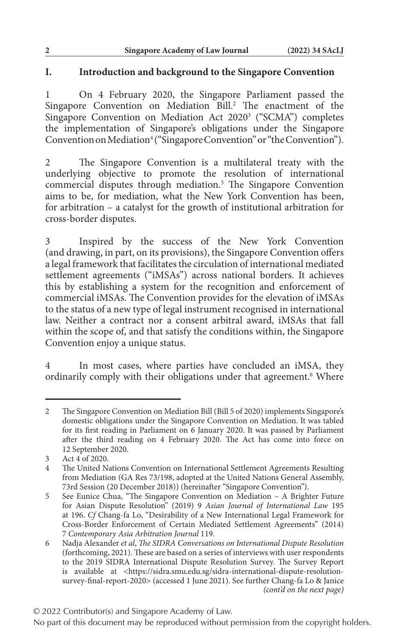### **I. Introduction and background to the Singapore Convention**

1 On 4 February 2020, the Singapore Parliament passed the Singapore Convention on Mediation Bill.<sup>2</sup> The enactment of the Singapore Convention on Mediation Act 20203 ("SCMA") completes the implementation of Singapore's obligations under the Singapore Convention on Mediation<sup>4</sup> ("Singapore Convention" or "the Convention").

2 The Singapore Convention is a multilateral treaty with the underlying objective to promote the resolution of international commercial disputes through mediation.<sup>5</sup> The Singapore Convention aims to be, for mediation, what the New York Convention has been, for arbitration – a catalyst for the growth of institutional arbitration for cross-border disputes.

3 Inspired by the success of the New York Convention (and drawing, in part, on its provisions), the Singapore Convention offers a legal framework that facilitates the circulation of international mediated settlement agreements ("iMSAs") across national borders. It achieves this by establishing a system for the recognition and enforcement of commercial iMSAs. The Convention provides for the elevation of iMSAs to the status of a new type of legal instrument recognised in international law. Neither a contract nor a consent arbitral award, iMSAs that fall within the scope of, and that satisfy the conditions within, the Singapore Convention enjoy a unique status.

4 In most cases, where parties have concluded an iMSA, they ordinarily comply with their obligations under that agreement.<sup>6</sup> Where

<sup>2</sup> The Singapore Convention on Mediation Bill (Bill 5 of 2020) implements Singapore's domestic obligations under the Singapore Convention on Mediation. It was tabled for its first reading in Parliament on 6 January 2020. It was passed by Parliament after the third reading on 4 February 2020. The Act has come into force on 12 September 2020.

<sup>3</sup> Act 4 of 2020.

<sup>4</sup> The United Nations Convention on International Settlement Agreements Resulting from Mediation (GA Res 73/198, adopted at the United Nations General Assembly, 73rd Session (20 December 2018)) (hereinafter "Singapore Convention").

<sup>5</sup> See Eunice Chua, "The Singapore Convention on Mediation – A Brighter Future for Asian Dispute Resolution" (2019) 9 *Asian Journal of International Law* 195 at 196. *Cf* Chang-fa Lo, "Desirability of a New International Legal Framework for Cross-Border Enforcement of Certain Mediated Settlement Agreements" (2014) 7 *Contemporary Asia Arbitration Journal* 119.

<sup>6</sup> Nadja Alexander *et al*, *The SIDRA Conversations on International Dispute Resolution* (forthcoming, 2021). These are based on a series of interviews with user respondents to the 2019 SIDRA International Dispute Resolution Survey. The Survey Report is available at <https://sidra.smu.edu.sg/sidra-international-dispute-resolutionsurvey-final-report-2020> (accessed 1 June 2021). See further Chang-fa Lo & Janice *(cont'd on the next page)*

No part of this document may be reproduced without permission from the copyright holders.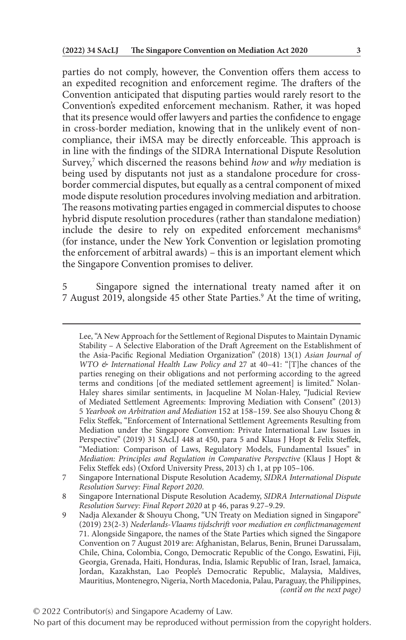parties do not comply, however, the Convention offers them access to an expedited recognition and enforcement regime. The drafters of the Convention anticipated that disputing parties would rarely resort to the Convention's expedited enforcement mechanism. Rather, it was hoped that its presence would offer lawyers and parties the confidence to engage in cross-border mediation, knowing that in the unlikely event of noncompliance, their iMSA may be directly enforceable. This approach is in line with the findings of the SIDRA International Dispute Resolution Survey,<sup>7</sup> which discerned the reasons behind *how* and *why* mediation is being used by disputants not just as a standalone procedure for crossborder commercial disputes, but equally as a central component of mixed mode dispute resolution procedures involving mediation and arbitration. The reasons motivating parties engaged in commercial disputes to choose hybrid dispute resolution procedures (rather than standalone mediation) include the desire to rely on expedited enforcement mechanisms<sup>8</sup> (for instance, under the New York Convention or legislation promoting the enforcement of arbitral awards) – this is an important element which the Singapore Convention promises to deliver.

5 Singapore signed the international treaty named after it on 7 August 2019, alongside 45 other State Parties.<sup>9</sup> At the time of writing,

© 2022 Contributor(s) and Singapore Academy of Law.

Lee, "A New Approach for the Settlement of Regional Disputes to Maintain Dynamic Stability – A Selective Elaboration of the Draft Agreement on the Establishment of the Asia-Pacific Regional Mediation Organization" (2018) 13(1) *Asian Journal of WTO & International Health Law Policy and* 27 at 40–41: "[T]he chances of the parties reneging on their obligations and not performing according to the agreed terms and conditions [of the mediated settlement agreement] is limited." Nolan-Haley shares similar sentiments, in Jacqueline M Nolan-Haley, "Judicial Review of Mediated Settlement Agreements: Improving Mediation with Consent" (2013) 5 *Yearbook on Arbitration and Mediation* 152 at 158–159. See also Shouyu Chong & Felix Steffek, "Enforcement of International Settlement Agreements Resulting from Mediation under the Singapore Convention: Private International Law Issues in Perspective" (2019) 31 SAcLJ 448 at 450, para 5 and Klaus J Hopt & Felix Steffek, "Mediation: Comparison of Laws, Regulatory Models, Fundamental Issues" in *Mediation: Principles and Regulation in Comparative Perspective* (Klaus J Hopt & Felix Steffek eds) (Oxford University Press, 2013) ch 1, at pp 105–106.

<sup>7</sup> Singapore International Dispute Resolution Academy, *SIDRA International Dispute Resolution Survey: Final Report 2020*.

<sup>8</sup> Singapore International Dispute Resolution Academy, *SIDRA International Dispute Resolution Survey: Final Report 2020* at p 46, paras 9.27–9.29.

<sup>9</sup> Nadja Alexander & Shouyu Chong, "UN Treaty on Mediation signed in Singapore" (2019) 23(2-3) *Nederlands-Vlaams tijdschrift voor mediation en conflictmanagement* 71. Alongside Singapore, the names of the State Parties which signed the Singapore Convention on 7 August 2019 are: Afghanistan, Belarus, Benin, Brunei Darussalam, Chile, China, Colombia, Congo, Democratic Republic of the Congo, Eswatini, Fiji, Georgia, Grenada, Haiti, Honduras, India, Islamic Republic of Iran, Israel, Jamaica, Jordan, Kazakhstan, Lao People's Democratic Republic, Malaysia, Maldives, Mauritius, Montenegro, Nigeria, North Macedonia, Palau, Paraguay, the Philippines, *(cont'd on the next page)*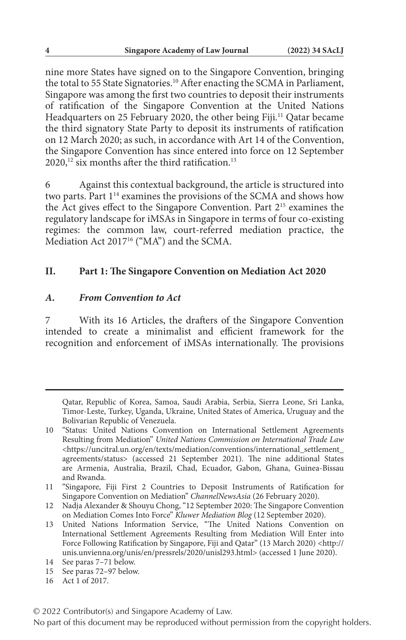nine more States have signed on to the Singapore Convention, bringing the total to 55 State Signatories.<sup>10</sup> After enacting the SCMA in Parliament, Singapore was among the first two countries to deposit their instruments of ratification of the Singapore Convention at the United Nations Headquarters on 25 February 2020, the other being Fiji.<sup>11</sup> Qatar became the third signatory State Party to deposit its instruments of ratification on 12 March 2020; as such, in accordance with Art 14 of the Convention, the Singapore Convention has since entered into force on 12 September 2020,<sup>12</sup> six months after the third ratification.<sup>13</sup>

6 Against this contextual background, the article is structured into two parts. Part 114 examines the provisions of the SCMA and shows how the Act gives effect to the Singapore Convention. Part 215 examines the regulatory landscape for iMSAs in Singapore in terms of four co-existing regimes: the common law, court-referred mediation practice, the Mediation Act 2017<sup>16</sup> ("MA") and the SCMA.

#### **II. Part 1: The Singapore Convention on Mediation Act 2020**

#### *A. From Convention to Act*

7 With its 16 Articles, the drafters of the Singapore Convention intended to create a minimalist and efficient framework for the recognition and enforcement of iMSAs internationally. The provisions

Qatar, Republic of Korea, Samoa, Saudi Arabia, Serbia, Sierra Leone, Sri Lanka, Timor-Leste, Turkey, Uganda, Ukraine, United States of America, Uruguay and the Bolivarian Republic of Venezuela.

<sup>10</sup> "Status: United Nations Convention on International Settlement Agreements Resulting from Mediation" *United Nations Commission on International Trade Law* <https://uncitral.un.org/en/texts/mediation/conventions/international\_settlement\_ agreements/status> (accessed 21 September 2021). The nine additional States are Armenia, Australia, Brazil, Chad, Ecuador, Gabon, Ghana, Guinea-Bissau and Rwanda.

<sup>11</sup> "Singapore, Fiji First 2 Countries to Deposit Instruments of Ratification for Singapore Convention on Mediation" *ChannelNewsAsia* (26 February 2020).

<sup>12</sup> Nadja Alexander & Shouyu Chong, "12 September 2020: The Singapore Convention on Mediation Comes Into Force" *Kluwer Mediation Blog* (12 September 2020).

<sup>13</sup> United Nations Information Service, "The United Nations Convention on International Settlement Agreements Resulting from Mediation Will Enter into Force Following Ratification by Singapore, Fiji and Qatar" (13 March 2020) <http:// unis.unvienna.org/unis/en/pressrels/2020/unisl293.html> (accessed 1 June 2020).

<sup>14</sup> See paras 7–71 below.

<sup>15</sup> See paras 72–97 below.

<sup>16</sup> Act 1 of 2017.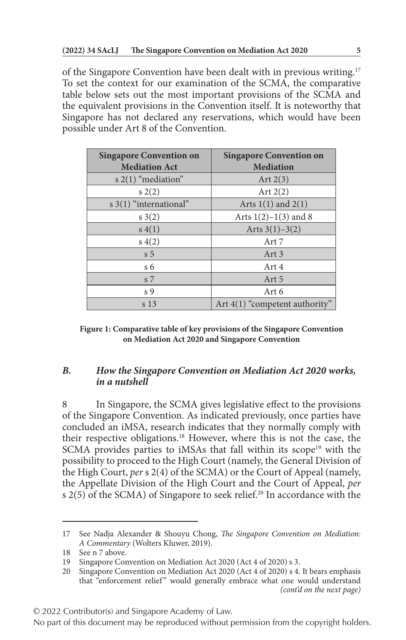of the Singapore Convention have been dealt with in previous writing.17 To set the context for our examination of the SCMA, the comparative table below sets out the most important provisions of the SCMA and the equivalent provisions in the Convention itself. It is noteworthy that Singapore has not declared any reservations, which would have been possible under Art 8 of the Convention.

| <b>Singapore Convention on</b><br><b>Mediation Act</b> | <b>Singapore Convention on</b><br><b>Mediation</b> |
|--------------------------------------------------------|----------------------------------------------------|
| s $2(1)$ "mediation"                                   | Art $2(3)$                                         |
| s(2)                                                   | Art $2(2)$                                         |
| s $3(1)$ "international"                               | Arts $1(1)$ and $2(1)$                             |
| s(2)                                                   | Arts $1(2)-1(3)$ and 8                             |
| s(4(1))                                                | Arts $3(1)-3(2)$                                   |
| s(4(2)                                                 | Art 7                                              |
| s <sub>5</sub>                                         | Art <sub>3</sub>                                   |
| $\sqrt{6}$                                             | Art 4                                              |
| s 7                                                    | Art 5                                              |
| s <sub>9</sub>                                         | Art 6                                              |
| s <sub>13</sub>                                        | Art $4(1)$ "competent authority"                   |

**Figure 1: Comparative table of key provisions of the Singapore Convention on Mediation Act 2020 and Singapore Convention**

# *B. How the Singapore Convention on Mediation Act 2020 works, in a nutshell*

In Singapore, the SCMA gives legislative effect to the provisions of the Singapore Convention. As indicated previously, once parties have concluded an iMSA, research indicates that they normally comply with their respective obligations.18 However, where this is not the case, the SCMA provides parties to iMSAs that fall within its scope<sup>19</sup> with the possibility to proceed to the High Court (namely, the General Division of the High Court, *per* s 2(4) of the SCMA) or the Court of Appeal (namely, the Appellate Division of the High Court and the Court of Appeal, *per* s 2(5) of the SCMA) of Singapore to seek relief.<sup>20</sup> In accordance with the

<sup>17</sup> See Nadja Alexander & Shouyu Chong, *The Singapore Convention on Mediation: A Commentary* (Wolters Kluwer, 2019).

<sup>18</sup> See n 7 above.

<sup>19</sup> Singapore Convention on Mediation Act 2020 (Act 4 of 2020) s 3.

<sup>20</sup> Singapore Convention on Mediation Act 2020 (Act 4 of 2020) s 4. It bears emphasis that "enforcement relief" would generally embrace what one would understand *(cont'd on the next page)*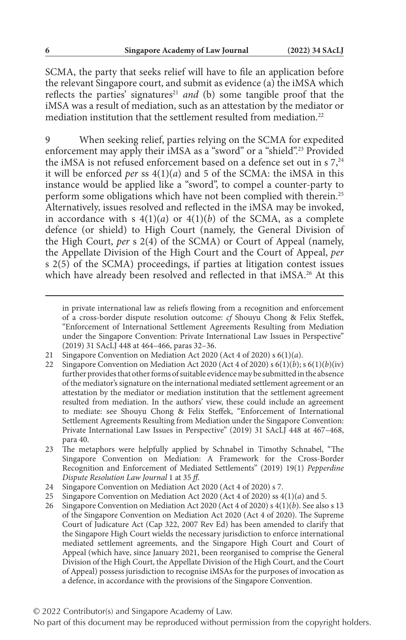SCMA, the party that seeks relief will have to file an application before the relevant Singapore court, and submit as evidence (a) the iMSA which reflects the parties' signatures<sup>21</sup> and (b) some tangible proof that the iMSA was a result of mediation, such as an attestation by the mediator or mediation institution that the settlement resulted from mediation.<sup>22</sup>

9 When seeking relief, parties relying on the SCMA for expedited enforcement may apply their iMSA as a "sword" or a "shield".23 Provided the iMSA is not refused enforcement based on a defence set out in  $\sigma$ ,<sup>24</sup> it will be enforced *per* ss 4(1)(*a*) and 5 of the SCMA: the iMSA in this instance would be applied like a "sword", to compel a counter-party to perform some obligations which have not been complied with therein.<sup>25</sup> Alternatively, issues resolved and reflected in the iMSA may be invoked, in accordance with s  $4(1)(a)$  or  $4(1)(b)$  of the SCMA, as a complete defence (or shield) to High Court (namely, the General Division of the High Court, *per* s 2(4) of the SCMA) or Court of Appeal (namely, the Appellate Division of the High Court and the Court of Appeal, *per* s 2(5) of the SCMA) proceedings, if parties at litigation contest issues which have already been resolved and reflected in that iMSA.<sup>26</sup> At this

- 22 Singapore Convention on Mediation Act 2020 (Act 4 of 2020) s 6(1)(*b*); s 6(1)(*b*)(iv) further provides that other forms of suitable evidence may be submitted in the absence of the mediator's signature on the international mediated settlement agreement or an attestation by the mediator or mediation institution that the settlement agreement resulted from mediation. In the authors' view, these could include an agreement to mediate: see Shouyu Chong & Felix Steffek, "Enforcement of International Settlement Agreements Resulting from Mediation under the Singapore Convention: Private International Law Issues in Perspective" (2019) 31 SAcLJ 448 at 467–468, para 40.
- 23 The metaphors were helpfully applied by Schnabel in Timothy Schnabel, "The Singapore Convention on Mediation: A Framework for the Cross-Border Recognition and Enforcement of Mediated Settlements" (2019) 19(1) *Pepperdine Dispute Resolution Law Journal* 1 at 35 *ff*.

© 2022 Contributor(s) and Singapore Academy of Law.

in private international law as reliefs flowing from a recognition and enforcement of a cross-border dispute resolution outcome: *cf* Shouyu Chong & Felix Steffek, "Enforcement of International Settlement Agreements Resulting from Mediation under the Singapore Convention: Private International Law Issues in Perspective" (2019) 31 SAcLJ 448 at 464–466, paras 32–36.

<sup>21</sup> Singapore Convention on Mediation Act 2020 (Act 4 of 2020) s 6(1)(*a*).

<sup>24</sup> Singapore Convention on Mediation Act 2020 (Act 4 of 2020) s 7.

<sup>25</sup> Singapore Convention on Mediation Act 2020 (Act 4 of 2020) ss 4(1)(*a*) and 5.

<sup>26</sup> Singapore Convention on Mediation Act 2020 (Act 4 of 2020) s 4(1)(*b*). See also s 13 of the Singapore Convention on Mediation Act 2020 (Act 4 of 2020). The Supreme Court of Judicature Act (Cap 322, 2007 Rev Ed) has been amended to clarify that the Singapore High Court wields the necessary jurisdiction to enforce international mediated settlement agreements, and the Singapore High Court and Court of Appeal (which have, since January 2021, been reorganised to comprise the General Division of the High Court, the Appellate Division of the High Court, and the Court of Appeal) possess jurisdiction to recognise iMSAs for the purposes of invocation as a defence, in accordance with the provisions of the Singapore Convention.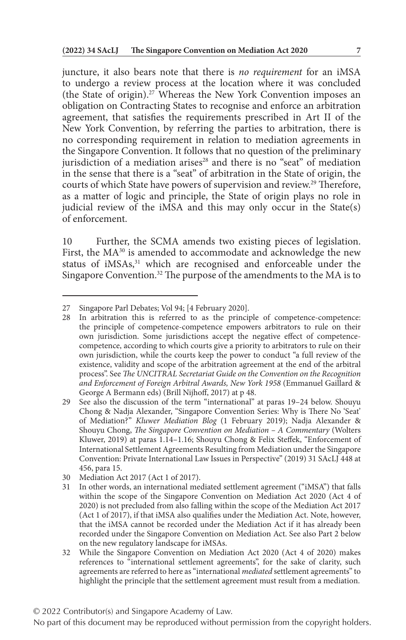juncture, it also bears note that there is *no requirement* for an iMSA to undergo a review process at the location where it was concluded (the State of origin).27 Whereas the New York Convention imposes an obligation on Contracting States to recognise and enforce an arbitration agreement, that satisfies the requirements prescribed in Art II of the New York Convention, by referring the parties to arbitration, there is no corresponding requirement in relation to mediation agreements in the Singapore Convention. It follows that no question of the preliminary jurisdiction of a mediation arises<sup>28</sup> and there is no "seat" of mediation in the sense that there is a "seat" of arbitration in the State of origin, the courts of which State have powers of supervision and review.<sup>29</sup> Therefore, as a matter of logic and principle, the State of origin plays no role in judicial review of the iMSA and this may only occur in the State(s) of enforcement.

10 Further, the SCMA amends two existing pieces of legislation. First, the MA<sup>30</sup> is amended to accommodate and acknowledge the new status of iMSAs,<sup>31</sup> which are recognised and enforceable under the Singapore Convention.<sup>32</sup> The purpose of the amendments to the MA is to

© 2022 Contributor(s) and Singapore Academy of Law.

<sup>27</sup> Singapore Parl Debates; Vol 94; [4 February 2020].

<sup>28</sup> In arbitration this is referred to as the principle of competence-competence: the principle of competence-competence empowers arbitrators to rule on their own jurisdiction. Some jurisdictions accept the negative effect of competencecompetence, according to which courts give a priority to arbitrators to rule on their own jurisdiction, while the courts keep the power to conduct "a full review of the existence, validity and scope of the arbitration agreement at the end of the arbitral process". See *The UNCITRAL Secretariat Guide on the Convention on the Recognition and Enforcement of Foreign Arbitral Awards, New York 1958* (Emmanuel Gaillard & George A Bermann eds) (Brill Nijhoff, 2017) at p 48.

<sup>29</sup> See also the discussion of the term "international" at paras 19–24 below. Shouyu Chong & Nadja Alexander, "Singapore Convention Series: Why is There No 'Seat' of Mediation?" *Kluwer Mediation Blog* (1 February 2019); Nadja Alexander & Shouyu Chong, *The Singapore Convention on Mediation – A Commentary* (Wolters Kluwer, 2019) at paras 1.14–1.16; Shouyu Chong & Felix Steffek, "Enforcement of International Settlement Agreements Resulting from Mediation under the Singapore Convention: Private International Law Issues in Perspective" (2019) 31 SAcLJ 448 at 456, para 15.

<sup>30</sup> Mediation Act 2017 (Act 1 of 2017).

<sup>31</sup> In other words, an international mediated settlement agreement ("iMSA") that falls within the scope of the Singapore Convention on Mediation Act 2020 (Act 4 of 2020) is not precluded from also falling within the scope of the Mediation Act 2017 (Act 1 of 2017), if that iMSA also qualifies under the Mediation Act. Note, however, that the iMSA cannot be recorded under the Mediation Act if it has already been recorded under the Singapore Convention on Mediation Act. See also Part 2 below on the new regulatory landscape for iMSAs.

<sup>32</sup> While the Singapore Convention on Mediation Act 2020 (Act 4 of 2020) makes references to "international settlement agreements", for the sake of clarity, such agreements are referred to here as "international *mediated* settlement agreements" to highlight the principle that the settlement agreement must result from a mediation.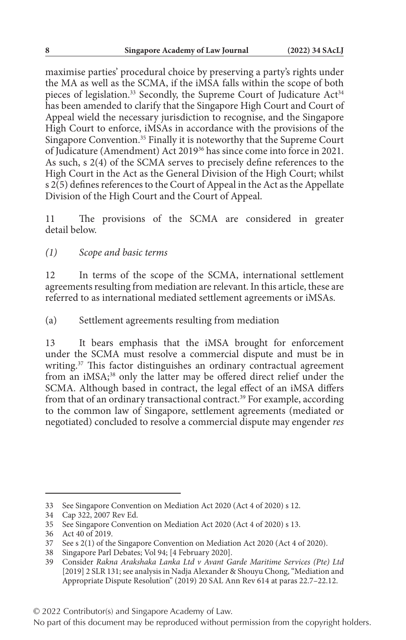maximise parties' procedural choice by preserving a party's rights under the MA as well as the SCMA, if the iMSA falls within the scope of both pieces of legislation.<sup>33</sup> Secondly, the Supreme Court of Judicature Act<sup>34</sup> has been amended to clarify that the Singapore High Court and Court of Appeal wield the necessary jurisdiction to recognise, and the Singapore High Court to enforce, iMSAs in accordance with the provisions of the Singapore Convention.35 Finally it is noteworthy that the Supreme Court of Judicature (Amendment) Act 201936 has since come into force in 2021. As such, s 2(4) of the SCMA serves to precisely define references to the High Court in the Act as the General Division of the High Court; whilst s  $2(5)$  defines references to the Court of Appeal in the Act as the Appellate Division of the High Court and the Court of Appeal.

11 The provisions of the SCMA are considered in greater detail below.

*(1) Scope and basic terms*

12 In terms of the scope of the SCMA, international settlement agreements resulting from mediation are relevant. In this article, these are referred to as international mediated settlement agreements or iMSAs.

(a) Settlement agreements resulting from mediation

13 It bears emphasis that the iMSA brought for enforcement under the SCMA must resolve a commercial dispute and must be in writing.<sup>37</sup> This factor distinguishes an ordinary contractual agreement from an iMSA;<sup>38</sup> only the latter may be offered direct relief under the SCMA. Although based in contract, the legal effect of an iMSA differs from that of an ordinary transactional contract.<sup>39</sup> For example, according to the common law of Singapore, settlement agreements (mediated or negotiated) concluded to resolve a commercial dispute may engender *res* 

<sup>33</sup> See Singapore Convention on Mediation Act 2020 (Act 4 of 2020) s 12.

<sup>34</sup> Cap 322, 2007 Rev Ed.

<sup>35</sup> See Singapore Convention on Mediation Act 2020 (Act 4 of 2020) s 13.

<sup>36</sup> Act 40 of 2019.

<sup>37</sup> See s 2(1) of the Singapore Convention on Mediation Act 2020 (Act 4 of 2020).

<sup>38</sup> Singapore Parl Debates; Vol 94; [4 February 2020].

<sup>39</sup> Consider *Rakna Arakshaka Lanka Ltd v Avant Garde Maritime Services (Pte) Ltd* [2019] 2 SLR 131; see analysis in Nadja Alexander & Shouyu Chong, "Mediation and Appropriate Dispute Resolution" (2019) 20 SAL Ann Rev 614 at paras 22.7–22.12.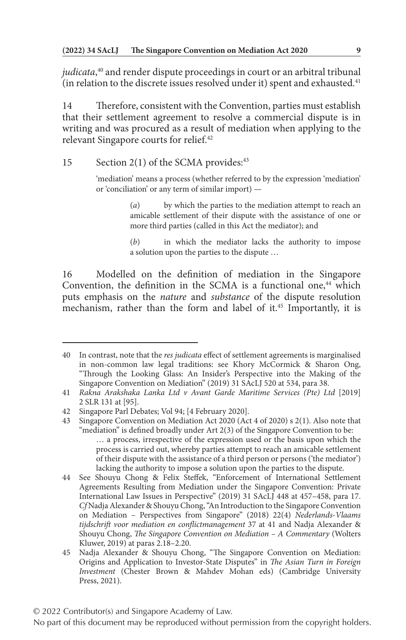*judicata*, 40 and render dispute proceedings in court or an arbitral tribunal (in relation to the discrete issues resolved under it) spent and exhausted.<sup>41</sup>

14 Therefore, consistent with the Convention, parties must establish that their settlement agreement to resolve a commercial dispute is in writing and was procured as a result of mediation when applying to the relevant Singapore courts for relief.<sup>42</sup>

15 Section 2(1) of the SCMA provides: $43$ 

'mediation' means a process (whether referred to by the expression 'mediation' or 'conciliation' or any term of similar import) —

> (*a*) by which the parties to the mediation attempt to reach an amicable settlement of their dispute with the assistance of one or more third parties (called in this Act the mediator); and

> (*b*) in which the mediator lacks the authority to impose a solution upon the parties to the dispute …

16 Modelled on the definition of mediation in the Singapore Convention, the definition in the SCMA is a functional one,<sup>44</sup> which puts emphasis on the *nature* and *substance* of the dispute resolution mechanism, rather than the form and label of it.<sup>45</sup> Importantly, it is

<sup>40</sup> In contrast, note that the *res judicata* effect of settlement agreements is marginalised in non-common law legal traditions: see Khory McCormick & Sharon Ong, "Through the Looking Glass: An Insider's Perspective into the Making of the Singapore Convention on Mediation" (2019) 31 SAcLJ 520 at 534, para 38.

<sup>41</sup> *Rakna Arakshaka Lanka Ltd v Avant Garde Maritime Services (Pte) Ltd* [2019] 2 SLR 131 at [95].

<sup>42</sup> Singapore Parl Debates; Vol 94; [4 February 2020].

<sup>43</sup> Singapore Convention on Mediation Act 2020 (Act 4 of 2020) s 2(1). Also note that "mediation" is defined broadly under  $Art 2(3)$  of the Singapore Convention to be: … a process, irrespective of the expression used or the basis upon which the process is carried out, whereby parties attempt to reach an amicable settlement of their dispute with the assistance of a third person or persons ('the mediator') lacking the authority to impose a solution upon the parties to the dispute.

<sup>44</sup> See Shouyu Chong & Felix Steffek, "Enforcement of International Settlement Agreements Resulting from Mediation under the Singapore Convention: Private International Law Issues in Perspective" (2019) 31 SAcLJ 448 at 457–458, para 17. *Cf* Nadja Alexander & Shouyu Chong, "An Introduction to the Singapore Convention on Mediation – Perspectives from Singapore" (2018) 22(4) *Nederlands-Vlaams tijdschrift voor mediation en conflictmanagement* 37 at 41 and Nadja Alexander & Shouyu Chong, *The Singapore Convention on Mediation – A Commentary* (Wolters Kluwer, 2019) at paras 2.18–2.20.

<sup>45</sup> Nadja Alexander & Shouyu Chong, "The Singapore Convention on Mediation: Origins and Application to Investor-State Disputes" in *The Asian Turn in Foreign Investment* (Chester Brown & Mahdev Mohan eds) (Cambridge University Press, 2021).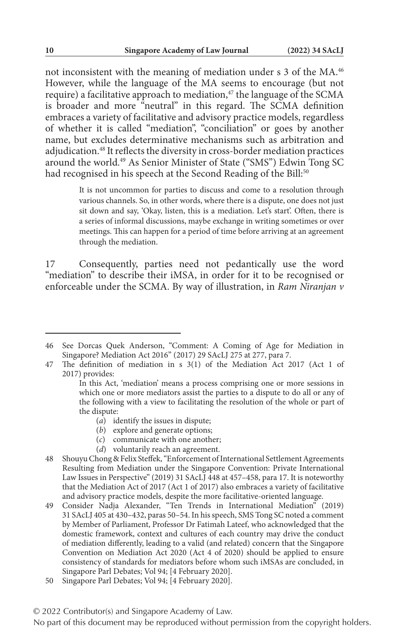not inconsistent with the meaning of mediation under s 3 of the MA.46 However, while the language of the MA seems to encourage (but not require) a facilitative approach to mediation,<sup>47</sup> the language of the SCMA is broader and more "neutral" in this regard. The SCMA definition embraces a variety of facilitative and advisory practice models, regardless of whether it is called "mediation", "conciliation" or goes by another name, but excludes determinative mechanisms such as arbitration and adjudication.48 It reflects the diversity in cross-border mediation practices around the world.49 As Senior Minister of State ("SMS") Edwin Tong SC had recognised in his speech at the Second Reading of the Bill:<sup>50</sup>

> It is not uncommon for parties to discuss and come to a resolution through various channels. So, in other words, where there is a dispute, one does not just sit down and say, 'Okay, listen, this is a mediation. Let's start'. Often, there is a series of informal discussions, maybe exchange in writing sometimes or over meetings. This can happen for a period of time before arriving at an agreement through the mediation.

17 Consequently, parties need not pedantically use the word "mediation" to describe their iMSA, in order for it to be recognised or enforceable under the SCMA. By way of illustration, in *Ram Niranjan v* 

- (*a*) identify the issues in dispute;
- (*b*) explore and generate options;
- (*c*) communicate with one another;
- (*d*) voluntarily reach an agreement.
- 48 Shouyu Chong & Felix Steffek, "Enforcement of International Settlement Agreements Resulting from Mediation under the Singapore Convention: Private International Law Issues in Perspective" (2019) 31 SAcLJ 448 at 457–458, para 17. It is noteworthy that the Mediation Act of 2017 (Act 1 of 2017) also embraces a variety of facilitative and advisory practice models, despite the more facilitative-oriented language.
- 49 Consider Nadja Alexander, "Ten Trends in International Mediation" (2019) 31 SAcLJ 405 at 430–432, paras 50–54. In his speech, SMS Tong SC noted a comment by Member of Parliament, Professor Dr Fatimah Lateef, who acknowledged that the domestic framework, context and cultures of each country may drive the conduct of mediation differently, leading to a valid (and related) concern that the Singapore Convention on Mediation Act 2020 (Act 4 of 2020) should be applied to ensure consistency of standards for mediators before whom such iMSAs are concluded, in Singapore Parl Debates; Vol 94; [4 February 2020].
- 50 Singapore Parl Debates; Vol 94; [4 February 2020].

<sup>46</sup> See Dorcas Quek Anderson, "Comment: A Coming of Age for Mediation in Singapore? Mediation Act 2016" (2017) 29 SAcLJ 275 at 277, para 7.

<sup>47</sup> The definition of mediation in s 3(1) of the Mediation Act 2017 (Act 1 of 2017) provides:

In this Act, 'mediation' means a process comprising one or more sessions in which one or more mediators assist the parties to a dispute to do all or any of the following with a view to facilitating the resolution of the whole or part of the dispute: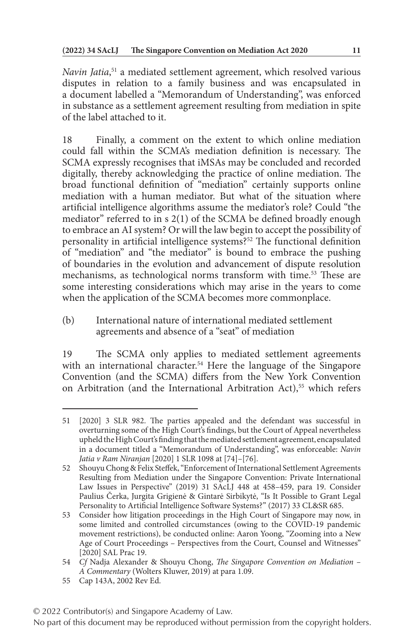*Navin Jatia*, 51 a mediated settlement agreement, which resolved various disputes in relation to a family business and was encapsulated in a document labelled a "Memorandum of Understanding", was enforced in substance as a settlement agreement resulting from mediation in spite of the label attached to it.

18 Finally, a comment on the extent to which online mediation could fall within the SCMA's mediation definition is necessary. The SCMA expressly recognises that iMSAs may be concluded and recorded digitally, thereby acknowledging the practice of online mediation. The broad functional definition of "mediation" certainly supports online mediation with a human mediator. But what of the situation where artificial intelligence algorithms assume the mediator's role? Could "the mediator" referred to in s 2(1) of the SCMA be defined broadly enough to embrace an AI system? Or will the law begin to accept the possibility of personality in artificial intelligence systems?52 The functional definition of "mediation" and "the mediator" is bound to embrace the pushing of boundaries in the evolution and advancement of dispute resolution mechanisms, as technological norms transform with time.53 These are some interesting considerations which may arise in the years to come when the application of the SCMA becomes more commonplace.

(b) International nature of international mediated settlement agreements and absence of a "seat" of mediation

19 The SCMA only applies to mediated settlement agreements with an international character.<sup>54</sup> Here the language of the Singapore Convention (and the SCMA) differs from the New York Convention on Arbitration (and the International Arbitration Act),<sup>55</sup> which refers

55 Cap 143A, 2002 Rev Ed.

<sup>51</sup> [2020] 3 SLR 982. The parties appealed and the defendant was successful in overturning some of the High Court's findings, but the Court of Appeal nevertheless upheld the High Court's finding that the mediated settlement agreement, encapsulated in a document titled a "Memorandum of Understanding", was enforceable: *Navin Jatia v Ram Niranjan* [2020] 1 SLR 1098 at [74]–[76].

<sup>52</sup> Shouyu Chong & Felix Steffek, "Enforcement of International Settlement Agreements Resulting from Mediation under the Singapore Convention: Private International Law Issues in Perspective" (2019) 31 SAcLJ 448 at 458–459, para 19. Consider Paulius Čerka, Jurgita Grigienė & Gintarė Sirbikytė, "Is It Possible to Grant Legal Personality to Artificial Intelligence Software Systems?" (2017) 33 CL&SR 685.

<sup>53</sup> Consider how litigation proceedings in the High Court of Singapore may now, in some limited and controlled circumstances (owing to the COVID-19 pandemic movement restrictions), be conducted online: Aaron Yoong, "Zooming into a New Age of Court Proceedings – Perspectives from the Court, Counsel and Witnesses" [2020] SAL Prac 19.

<sup>54</sup> *Cf* Nadja Alexander & Shouyu Chong, *The Singapore Convention on Mediation – A Commentary* (Wolters Kluwer, 2019) at para 1.09.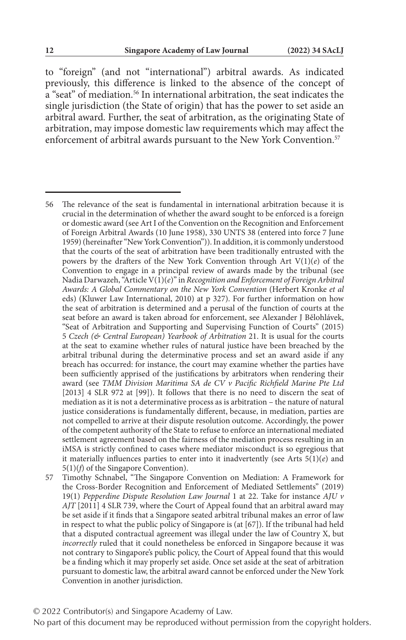to "foreign" (and not "international") arbitral awards. As indicated previously, this difference is linked to the absence of the concept of a "seat" of mediation.56 In international arbitration, the seat indicates the single jurisdiction (the State of origin) that has the power to set aside an arbitral award. Further, the seat of arbitration, as the originating State of arbitration, may impose domestic law requirements which may affect the enforcement of arbitral awards pursuant to the New York Convention.<sup>57</sup>

© 2022 Contributor(s) and Singapore Academy of Law.

<sup>56</sup> The relevance of the seat is fundamental in international arbitration because it is crucial in the determination of whether the award sought to be enforced is a foreign or domestic award (see Art I of the Convention on the Recognition and Enforcement of Foreign Arbitral Awards (10 June 1958), 330 UNTS 38 (entered into force 7 June 1959) (hereinafter "New York Convention")). In addition, it is commonly understood that the courts of the seat of arbitration have been traditionally entrusted with the powers by the drafters of the New York Convention through Art V(1)(*e*) of the Convention to engage in a principal review of awards made by the tribunal (see Nadia Darwazeh, "Article V(1)(*e*)" in *Recognition and Enforcement of Foreign Arbitral Awards: A Global Commentary on the New York Convention* (Herbert Kronke *et al* eds) (Kluwer Law International, 2010) at p 327). For further information on how the seat of arbitration is determined and a perusal of the function of courts at the seat before an award is taken abroad for enforcement, see Alexander J Bělohlávek, "Seat of Arbitration and Supporting and Supervising Function of Courts" (2015) 5 *Czech (& Central European) Yearbook of Arbitration* 21. It is usual for the courts at the seat to examine whether rules of natural justice have been breached by the arbitral tribunal during the determinative process and set an award aside if any breach has occurred: for instance, the court may examine whether the parties have been sufficiently apprised of the justifications by arbitrators when rendering their award (see *TMM Division Maritima SA de CV v Pacific Richfield Marine Pte Ltd* [2013] 4 SLR 972 at [99]). It follows that there is no need to discern the seat of mediation as it is not a determinative process as is arbitration – the nature of natural justice considerations is fundamentally different, because, in mediation, parties are not compelled to arrive at their dispute resolution outcome. Accordingly, the power of the competent authority of the State to refuse to enforce an international mediated settlement agreement based on the fairness of the mediation process resulting in an iMSA is strictly confined to cases where mediator misconduct is so egregious that it materially influences parties to enter into it inadvertently (see Arts  $5(1)(e)$  and 5(1)(*f*) of the Singapore Convention).

<sup>57</sup> Timothy Schnabel, "The Singapore Convention on Mediation: A Framework for the Cross-Border Recognition and Enforcement of Mediated Settlements" (2019) 19(1) *Pepperdine Dispute Resolution Law Journal* 1 at 22. Take for instance *AJU v AJT* [2011] 4 SLR 739, where the Court of Appeal found that an arbitral award may be set aside if it finds that a Singapore seated arbitral tribunal makes an error of law in respect to what the public policy of Singapore is (at [67]). If the tribunal had held that a disputed contractual agreement was illegal under the law of Country X, but *incorrectly* ruled that it could nonetheless be enforced in Singapore because it was not contrary to Singapore's public policy, the Court of Appeal found that this would be a finding which it may properly set aside. Once set aside at the seat of arbitration pursuant to domestic law, the arbitral award cannot be enforced under the New York Convention in another jurisdiction.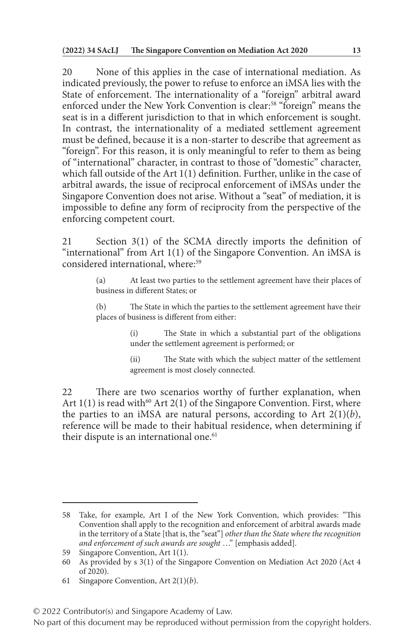20 None of this applies in the case of international mediation. As indicated previously, the power to refuse to enforce an iMSA lies with the State of enforcement. The internationality of a "foreign" arbitral award enforced under the New York Convention is clear:58 "foreign" means the seat is in a different jurisdiction to that in which enforcement is sought. In contrast, the internationality of a mediated settlement agreement must be defined, because it is a non-starter to describe that agreement as "foreign". For this reason, it is only meaningful to refer to them as being of "international" character, in contrast to those of "domestic" character, which fall outside of the Art 1(1) definition. Further, unlike in the case of arbitral awards, the issue of reciprocal enforcement of iMSAs under the Singapore Convention does not arise. Without a "seat" of mediation, it is impossible to define any form of reciprocity from the perspective of the enforcing competent court.

21 Section 3(1) of the SCMA directly imports the definition of "international" from Art 1(1) of the Singapore Convention. An iMSA is considered international, where:<sup>59</sup>

> (a) At least two parties to the settlement agreement have their places of business in different States; or

> (b) The State in which the parties to the settlement agreement have their places of business is different from either:

> > (i) The State in which a substantial part of the obligations under the settlement agreement is performed; or

> > (ii) The State with which the subject matter of the settlement agreement is most closely connected.

22 There are two scenarios worthy of further explanation, when Art  $1(1)$  is read with<sup>60</sup> Art  $2(1)$  of the Singapore Convention. First, where the parties to an iMSA are natural persons, according to Art  $2(1)(b)$ , reference will be made to their habitual residence, when determining if their dispute is an international one.<sup>61</sup>

<sup>58</sup> Take, for example, Art I of the New York Convention, which provides: "This Convention shall apply to the recognition and enforcement of arbitral awards made in the territory of a State [that is, the "seat"] *other than the State where the recognition and enforcement of such awards are sought* …" [emphasis added].

<sup>59</sup> Singapore Convention, Art 1(1).

<sup>60</sup> As provided by s 3(1) of the Singapore Convention on Mediation Act 2020 (Act 4 of 2020).

<sup>61</sup> Singapore Convention, Art 2(1)(*b*).

<sup>© 2022</sup> Contributor(s) and Singapore Academy of Law.

No part of this document may be reproduced without permission from the copyright holders.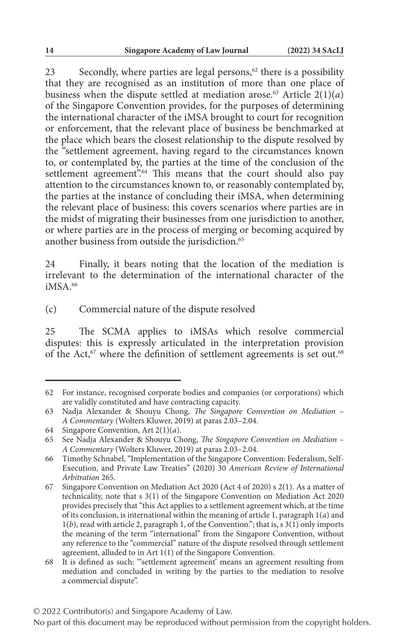23 Secondly, where parties are legal persons, $62$  there is a possibility that they are recognised as an institution of more than one place of business when the dispute settled at mediation arose.<sup>63</sup> Article  $2(1)(a)$ of the Singapore Convention provides, for the purposes of determining the international character of the iMSA brought to court for recognition or enforcement, that the relevant place of business be benchmarked at the place which bears the closest relationship to the dispute resolved by the "settlement agreement, having regard to the circumstances known to, or contemplated by, the parties at the time of the conclusion of the settlement agreement".<sup>64</sup> This means that the court should also pay attention to the circumstances known to, or reasonably contemplated by, the parties at the instance of concluding their iMSA, when determining the relevant place of business: this covers scenarios where parties are in the midst of migrating their businesses from one jurisdiction to another, or where parties are in the process of merging or becoming acquired by another business from outside the jurisdiction.<sup>65</sup>

24 Finally, it bears noting that the location of the mediation is irrelevant to the determination of the international character of the  $iMSA$ <sup>66</sup>

(c) Commercial nature of the dispute resolved

25 The SCMA applies to iMSAs which resolve commercial disputes: this is expressly articulated in the interpretation provision of the Act,<sup>67</sup> where the definition of settlement agreements is set out.<sup>68</sup>

<sup>62</sup> For instance, recognised corporate bodies and companies (or corporations) which are validly constituted and have contracting capacity.

<sup>63</sup> Nadja Alexander & Shouyu Chong, *The Singapore Convention on Mediation – A Commentary* (Wolters Kluwer, 2019) at paras 2.03–2.04.

<sup>64</sup> Singapore Convention, Art 2(1)(*a*).

<sup>65</sup> See Nadja Alexander & Shouyu Chong, *The Singapore Convention on Mediation – A Commentary* (Wolters Kluwer, 2019) at paras 2.03–2.04.

<sup>66</sup> Timothy Schnabel, "Implementation of the Singapore Convention: Federalism, Self-Execution, and Private Law Treaties" (2020) 30 *American Review of International Arbitration* 265.

<sup>67</sup> Singapore Convention on Mediation Act 2020 (Act 4 of 2020) s 2(1). As a matter of technicality, note that s 3(1) of the Singapore Convention on Mediation Act 2020 provides precisely that "this Act applies to a settlement agreement which, at the time of its conclusion, is international within the meaning of article 1, paragraph 1(*a*) and 1(*b*), read with article 2, paragraph 1, of the Convention."; that is, s 3(1) only imports the meaning of the term "international" from the Singapore Convention, without any reference to the "commercial" nature of the dispute resolved through settlement agreement, alluded to in Art 1(1) of the Singapore Convention.

<sup>68</sup> It is defined as such: "'settlement agreement' means an agreement resulting from mediation and concluded in writing by the parties to the mediation to resolve a commercial dispute".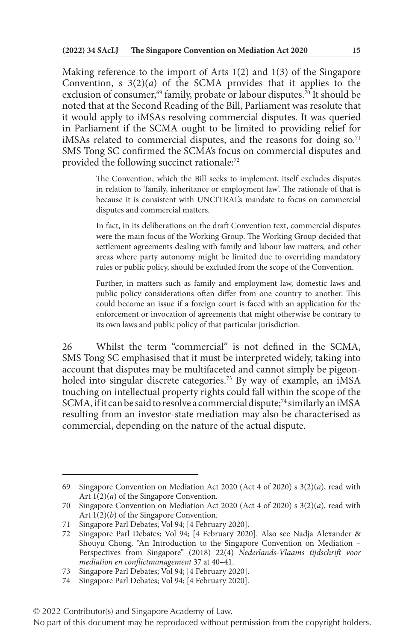Making reference to the import of Arts 1(2) and 1(3) of the Singapore Convention, s  $3(2)(a)$  of the SCMA provides that it applies to the exclusion of consumer,<sup>69</sup> family, probate or labour disputes.<sup>70</sup> It should be noted that at the Second Reading of the Bill, Parliament was resolute that it would apply to iMSAs resolving commercial disputes. It was queried in Parliament if the SCMA ought to be limited to providing relief for iMSAs related to commercial disputes, and the reasons for doing  $so.^{71}$ SMS Tong SC confirmed the SCMA's focus on commercial disputes and provided the following succinct rationale:<sup>72</sup>

> The Convention, which the Bill seeks to implement, itself excludes disputes in relation to 'family, inheritance or employment law'. The rationale of that is because it is consistent with UNCITRAL's mandate to focus on commercial disputes and commercial matters.

> In fact, in its deliberations on the draft Convention text, commercial disputes were the main focus of the Working Group. The Working Group decided that settlement agreements dealing with family and labour law matters, and other areas where party autonomy might be limited due to overriding mandatory rules or public policy, should be excluded from the scope of the Convention.

> Further, in matters such as family and employment law, domestic laws and public policy considerations often differ from one country to another. This could become an issue if a foreign court is faced with an application for the enforcement or invocation of agreements that might otherwise be contrary to its own laws and public policy of that particular jurisdiction.

26 Whilst the term "commercial" is not defined in the SCMA, SMS Tong SC emphasised that it must be interpreted widely, taking into account that disputes may be multifaceted and cannot simply be pigeonholed into singular discrete categories.<sup>73</sup> By way of example, an iMSA touching on intellectual property rights could fall within the scope of the SCMA, if it can be said to resolve a commercial dispute;<sup>74</sup> similarly an iMSA resulting from an investor-state mediation may also be characterised as commercial, depending on the nature of the actual dispute.

<sup>69</sup> Singapore Convention on Mediation Act 2020 (Act 4 of 2020) s 3(2)(*a*), read with Art 1(2)(*a*) of the Singapore Convention.

<sup>70</sup> Singapore Convention on Mediation Act 2020 (Act 4 of 2020) s 3(2)(*a*), read with Art 1(2)(*b*) of the Singapore Convention.

<sup>71</sup> Singapore Parl Debates; Vol 94; [4 February 2020].

<sup>72</sup> Singapore Parl Debates; Vol 94; [4 February 2020]. Also see Nadja Alexander & Shouyu Chong, "An Introduction to the Singapore Convention on Mediation – Perspectives from Singapore" (2018) 22(4) *Nederlands-Vlaams tijdschrift voor mediation en conflictmanagement* 37 at 40–41.

<sup>73</sup> Singapore Parl Debates; Vol 94; [4 February 2020].

<sup>74</sup> Singapore Parl Debates; Vol 94; [4 February 2020].

<sup>© 2022</sup> Contributor(s) and Singapore Academy of Law.

No part of this document may be reproduced without permission from the copyright holders.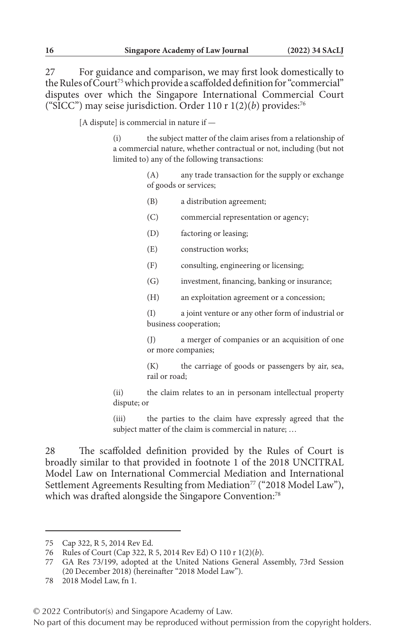27 For guidance and comparison, we may first look domestically to the Rules of Court<sup>75</sup> which provide a scaffolded definition for "commercial" disputes over which the Singapore International Commercial Court ("SICC") may seise jurisdiction. Order 110 r 1(2)(*b*) provides:76

[A dispute] is commercial in nature if —

(i) the subject matter of the claim arises from a relationship of a commercial nature, whether contractual or not, including (but not limited to) any of the following transactions:

> (A) any trade transaction for the supply or exchange of goods or services;

- (B) a distribution agreement;
- (C) commercial representation or agency;
- (D) factoring or leasing;
- (E) construction works;
- (F) consulting, engineering or licensing;
- (G) investment, financing, banking or insurance;
- (H) an exploitation agreement or a concession;

(I) a joint venture or any other form of industrial or business cooperation;

(J) a merger of companies or an acquisition of one or more companies;

(K) the carriage of goods or passengers by air, sea, rail or road;

(ii) the claim relates to an in personam intellectual property dispute; or

(iii) the parties to the claim have expressly agreed that the subject matter of the claim is commercial in nature; …

28 The scaffolded definition provided by the Rules of Court is broadly similar to that provided in footnote 1 of the 2018 UNCITRAL Model Law on International Commercial Mediation and International Settlement Agreements Resulting from Mediation<sup>77</sup> ("2018 Model Law"), which was drafted alongside the Singapore Convention:<sup>78</sup>

<sup>75</sup> Cap 322, R 5, 2014 Rev Ed.

<sup>76</sup> Rules of Court (Cap 322, R 5, 2014 Rev Ed) O 110 r 1(2)(*b*).

<sup>77</sup> GA Res 73/199, adopted at the United Nations General Assembly, 73rd Session (20 December 2018) (hereinafter "2018 Model Law").

<sup>78</sup> 2018 Model Law, fn 1.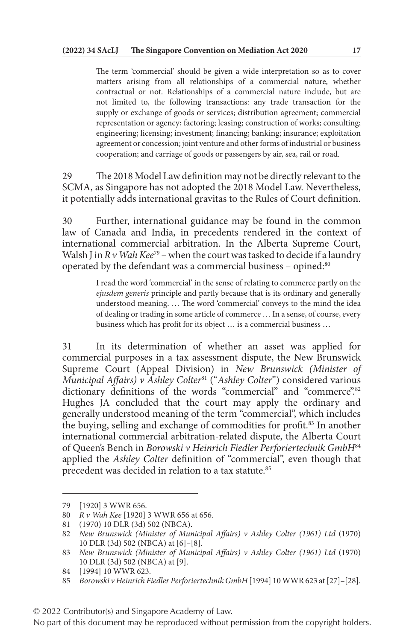The term 'commercial' should be given a wide interpretation so as to cover matters arising from all relationships of a commercial nature, whether contractual or not. Relationships of a commercial nature include, but are not limited to, the following transactions: any trade transaction for the supply or exchange of goods or services; distribution agreement; commercial representation or agency; factoring; leasing; construction of works; consulting; engineering; licensing; investment; financing; banking; insurance; exploitation agreement or concession; joint venture and other forms of industrial or business cooperation; and carriage of goods or passengers by air, sea, rail or road.

29 The 2018 Model Law definition may not be directly relevant to the SCMA, as Singapore has not adopted the 2018 Model Law. Nevertheless, it potentially adds international gravitas to the Rules of Court definition.

30 Further, international guidance may be found in the common law of Canada and India, in precedents rendered in the context of international commercial arbitration. In the Alberta Supreme Court, Walsh J in *R v Wah Kee*<sup>79</sup> – when the court was tasked to decide if a laundry operated by the defendant was a commercial business – opined:80

> I read the word 'commercial' in the sense of relating to commerce partly on the *ejusdem generis* principle and partly because that is its ordinary and generally understood meaning. … The word 'commercial' conveys to the mind the idea of dealing or trading in some article of commerce … In a sense, of course, every business which has profit for its object … is a commercial business …

31 In its determination of whether an asset was applied for commercial purposes in a tax assessment dispute, the New Brunswick Supreme Court (Appeal Division) in *New Brunswick (Minister of Municipal Affairs) v Ashley Colter*81 ("*Ashley Colter*") considered various dictionary definitions of the words "commercial" and "commerce".<sup>82</sup> Hughes JA concluded that the court may apply the ordinary and generally understood meaning of the term "commercial", which includes the buying, selling and exchange of commodities for profit.83 In another international commercial arbitration-related dispute, the Alberta Court of Queen's Bench in *Borowski v Heinrich Fiedler Perforiertechnik GmbH*<sup>84</sup> applied the *Ashley Colter* definition of "commercial", even though that precedent was decided in relation to a tax statute.85

<sup>79</sup> [1920] 3 WWR 656.

<sup>80</sup> *R v Wah Kee* [1920] 3 WWR 656 at 656.

<sup>81</sup> (1970) 10 DLR (3d) 502 (NBCA).

<sup>82</sup> *New Brunswick (Minister of Municipal Affairs) v Ashley Colter (1961) Ltd* (1970) 10 DLR (3d) 502 (NBCA) at [6]–[8].

<sup>83</sup> *New Brunswick (Minister of Municipal Affairs) v Ashley Colter (1961) Ltd* (1970) 10 DLR (3d) 502 (NBCA) at [9].

<sup>84</sup> [1994] 10 WWR 623.

<sup>85</sup> *Borowski v Heinrich Fiedler Perforiertechnik GmbH* [1994] 10 WWR 623 at [27]–[28].

<sup>© 2022</sup> Contributor(s) and Singapore Academy of Law.

No part of this document may be reproduced without permission from the copyright holders.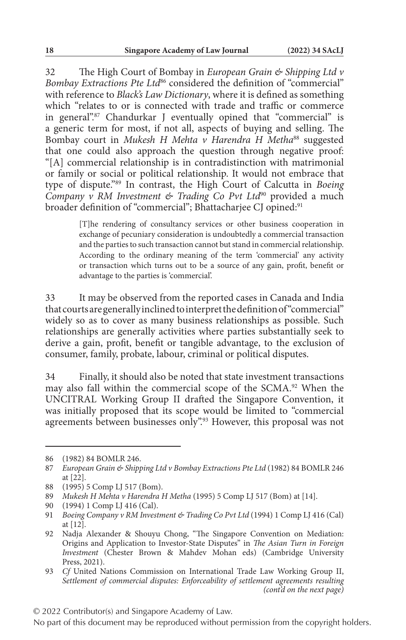32 The High Court of Bombay in *European Grain & Shipping Ltd v Bombay Extractions Pte Ltd*86 considered the definition of "commercial" with reference to *Black's Law Dictionary*, where it is defined as something which "relates to or is connected with trade and traffic or commerce in general".87 Chandurkar J eventually opined that "commercial" is a generic term for most, if not all, aspects of buying and selling. The Bombay court in *Mukesh H Mehta v Harendra H Metha*<sup>88</sup> suggested that one could also approach the question through negative proof: "[A] commercial relationship is in contradistinction with matrimonial or family or social or political relationship. It would not embrace that type of dispute."89 In contrast, the High Court of Calcutta in *Boeing Company v RM Investment & Trading Co Pvt Ltd*90 provided a much broader definition of "commercial"; Bhattacharjee CJ opined:<sup>91</sup>

> [T]he rendering of consultancy services or other business cooperation in exchange of pecuniary consideration is undoubtedly a commercial transaction and the parties to such transaction cannot but stand in commercial relationship. According to the ordinary meaning of the term 'commercial' any activity or transaction which turns out to be a source of any gain, profit, benefit or advantage to the parties is 'commercial'.

33 It may be observed from the reported cases in Canada and India that courts are generally inclined to interpret the definition of "commercial" widely so as to cover as many business relationships as possible. Such relationships are generally activities where parties substantially seek to derive a gain, profit, benefit or tangible advantage, to the exclusion of consumer, family, probate, labour, criminal or political disputes.

34 Finally, it should also be noted that state investment transactions may also fall within the commercial scope of the SCMA.92 When the UNCITRAL Working Group II drafted the Singapore Convention, it was initially proposed that its scope would be limited to "commercial agreements between businesses only".<sup>93</sup> However, this proposal was not

<sup>86</sup> (1982) 84 BOMLR 246.

<sup>87</sup> *European Grain & Shipping Ltd v Bombay Extractions Pte Ltd* (1982) 84 BOMLR 246 at [22].

<sup>88</sup> (1995) 5 Comp LJ 517 (Bom).

<sup>89</sup> *Mukesh H Mehta v Harendra H Metha* (1995) 5 Comp LJ 517 (Bom) at [14].

<sup>90</sup> (1994) 1 Comp LJ 416 (Cal).

<sup>91</sup> *Boeing Company v RM Investment & Trading Co Pvt Ltd* (1994) 1 Comp LJ 416 (Cal) at [12].

<sup>92</sup> Nadja Alexander & Shouyu Chong, "The Singapore Convention on Mediation: Origins and Application to Investor-State Disputes" in *The Asian Turn in Foreign Investment* (Chester Brown & Mahdev Mohan eds) (Cambridge University Press, 2021).

<sup>93</sup> *Cf* United Nations Commission on International Trade Law Working Group II, *Settlement of commercial disputes: Enforceability of settlement agreements resulting (cont'd on the next page)*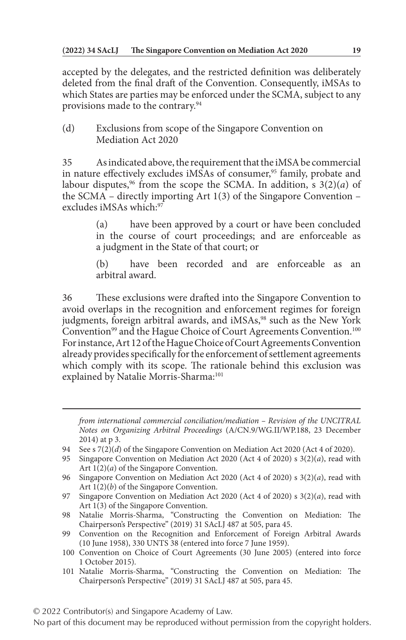accepted by the delegates, and the restricted definition was deliberately deleted from the final draft of the Convention. Consequently, iMSAs to which States are parties may be enforced under the SCMA, subject to any provisions made to the contrary.94

(d) Exclusions from scope of the Singapore Convention on Mediation Act 2020

35 As indicated above, the requirement that the iMSA be commercial in nature effectively excludes iMSAs of consumer,<sup>95</sup> family, probate and labour disputes,<sup>96</sup> from the scope the SCMA. In addition, s  $3(2)(a)$  of the SCMA – directly importing Art 1(3) of the Singapore Convention – excludes iMSAs which:97

> (a) have been approved by a court or have been concluded in the course of court proceedings; and are enforceable as a judgment in the State of that court; or

> (b) have been recorded and are enforceable as an arbitral award.

36 These exclusions were drafted into the Singapore Convention to avoid overlaps in the recognition and enforcement regimes for foreign judgments, foreign arbitral awards, and iMSAs,<sup>98</sup> such as the New York Convention<sup>99</sup> and the Hague Choice of Court Agreements Convention.<sup>100</sup> For instance, Art 12 of the Hague Choice of Court Agreements Convention already provides specifically for the enforcement of settlement agreements which comply with its scope. The rationale behind this exclusion was explained by Natalie Morris-Sharma:<sup>101</sup>

*from international commercial conciliation/mediation – Revision of the UNCITRAL Notes on Organizing Arbitral Proceedings* (A/CN.9/WG.II/WP.188, 23 December 2014) at p 3.

- 94 See s 7(2)(*d*) of the Singapore Convention on Mediation Act 2020 (Act 4 of 2020).
- 95 Singapore Convention on Mediation Act 2020 (Act 4 of 2020) s 3(2)(*a*), read with Art 1(2)(*a*) of the Singapore Convention.

101 Natalie Morris-Sharma, "Constructing the Convention on Mediation: The Chairperson's Perspective" (2019) 31 SAcLJ 487 at 505, para 45.

<sup>96</sup> Singapore Convention on Mediation Act 2020 (Act 4 of 2020) s 3(2)(*a*), read with Art  $1(2)(b)$  of the Singapore Convention.

<sup>97</sup> Singapore Convention on Mediation Act 2020 (Act 4 of 2020) s 3(2)(*a*), read with Art 1(3) of the Singapore Convention.

<sup>98</sup> Natalie Morris-Sharma, "Constructing the Convention on Mediation: The Chairperson's Perspective" (2019) 31 SAcLJ 487 at 505, para 45.

<sup>99</sup> Convention on the Recognition and Enforcement of Foreign Arbitral Awards (10 June 1958), 330 UNTS 38 (entered into force 7 June 1959).

<sup>100</sup> Convention on Choice of Court Agreements (30 June 2005) (entered into force 1 October 2015).

No part of this document may be reproduced without permission from the copyright holders.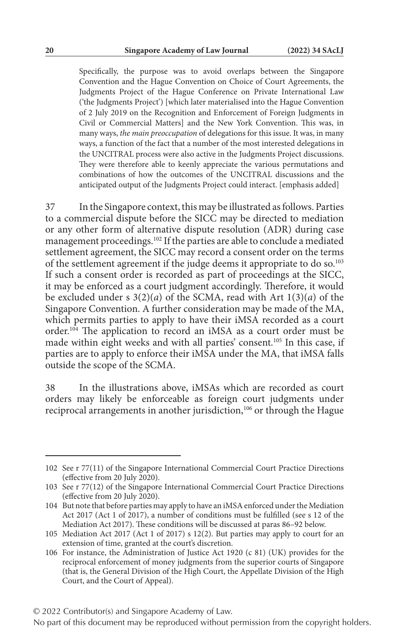Specifically, the purpose was to avoid overlaps between the Singapore Convention and the Hague Convention on Choice of Court Agreements, the Judgments Project of the Hague Conference on Private International Law ('the Judgments Project') [which later materialised into the Hague Convention of 2 July 2019 on the Recognition and Enforcement of Foreign Judgments in Civil or Commercial Matters] and the New York Convention. This was, in many ways, *the main preoccupation* of delegations for this issue. It was, in many ways, a function of the fact that a number of the most interested delegations in the UNCITRAL process were also active in the Judgments Project discussions. They were therefore able to keenly appreciate the various permutations and combinations of how the outcomes of the UNCITRAL discussions and the anticipated output of the Judgments Project could interact. [emphasis added]

37 In the Singapore context, this may be illustrated as follows. Parties to a commercial dispute before the SICC may be directed to mediation or any other form of alternative dispute resolution (ADR) during case management proceedings.102 If the parties are able to conclude a mediated settlement agreement, the SICC may record a consent order on the terms of the settlement agreement if the judge deems it appropriate to do so.103 If such a consent order is recorded as part of proceedings at the SICC, it may be enforced as a court judgment accordingly. Therefore, it would be excluded under s 3(2)(*a*) of the SCMA, read with Art 1(3)(*a*) of the Singapore Convention. A further consideration may be made of the MA, which permits parties to apply to have their iMSA recorded as a court order.104 The application to record an iMSA as a court order must be made within eight weeks and with all parties' consent.<sup>105</sup> In this case, if parties are to apply to enforce their iMSA under the MA, that iMSA falls outside the scope of the SCMA.

38 In the illustrations above, iMSAs which are recorded as court orders may likely be enforceable as foreign court judgments under reciprocal arrangements in another jurisdiction,<sup>106</sup> or through the Hague

<sup>102</sup> See r 77(11) of the Singapore International Commercial Court Practice Directions (effective from 20 July 2020).

<sup>103</sup> See r 77(12) of the Singapore International Commercial Court Practice Directions (effective from 20 July 2020).

<sup>104</sup> But note that before parties may apply to have an iMSA enforced under the Mediation Act 2017 (Act 1 of 2017), a number of conditions must be fulfilled (see s 12 of the Mediation Act 2017). These conditions will be discussed at paras 86–92 below.

<sup>105</sup> Mediation Act 2017 (Act 1 of 2017) s 12(2). But parties may apply to court for an extension of time, granted at the court's discretion.

<sup>106</sup> For instance, the Administration of Justice Act 1920 (c 81) (UK) provides for the reciprocal enforcement of money judgments from the superior courts of Singapore (that is, the General Division of the High Court, the Appellate Division of the High Court, and the Court of Appeal).

No part of this document may be reproduced without permission from the copyright holders.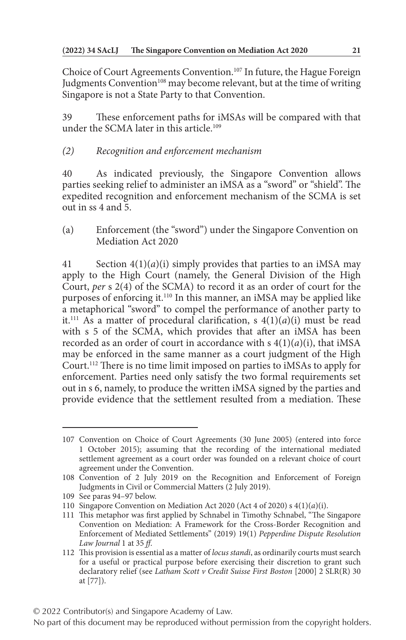Choice of Court Agreements Convention.107 In future, the Hague Foreign Judgments Convention<sup>108</sup> may become relevant, but at the time of writing Singapore is not a State Party to that Convention.

These enforcement paths for iMSAs will be compared with that under the SCMA later in this article.109

# *(2) Recognition and enforcement mechanism*

40 As indicated previously, the Singapore Convention allows parties seeking relief to administer an iMSA as a "sword" or "shield". The expedited recognition and enforcement mechanism of the SCMA is set out in ss 4 and 5.

(a) Enforcement (the "sword") under the Singapore Convention on Mediation Act 2020

41 Section 4(1)(*a*)(i) simply provides that parties to an iMSA may apply to the High Court (namely, the General Division of the High Court, *per* s 2(4) of the SCMA) to record it as an order of court for the purposes of enforcing it.110 In this manner, an iMSA may be applied like a metaphorical "sword" to compel the performance of another party to it.<sup>111</sup> As a matter of procedural clarification, s  $4(1)(a)(i)$  must be read with s 5 of the SCMA, which provides that after an iMSA has been recorded as an order of court in accordance with s 4(1)(*a*)(i), that iMSA may be enforced in the same manner as a court judgment of the High Court.112 There is no time limit imposed on parties to iMSAs to apply for enforcement. Parties need only satisfy the two formal requirements set out in s 6, namely, to produce the written iMSA signed by the parties and provide evidence that the settlement resulted from a mediation. These

<sup>107</sup> Convention on Choice of Court Agreements (30 June 2005) (entered into force 1 October 2015); assuming that the recording of the international mediated settlement agreement as a court order was founded on a relevant choice of court agreement under the Convention.

<sup>108</sup> Convention of 2 July 2019 on the Recognition and Enforcement of Foreign Judgments in Civil or Commercial Matters (2 July 2019).

<sup>109</sup> See paras 94–97 below.

<sup>110</sup> Singapore Convention on Mediation Act 2020 (Act 4 of 2020) s 4(1)(*a*)(i).

<sup>111</sup> This metaphor was first applied by Schnabel in Timothy Schnabel, "The Singapore Convention on Mediation: A Framework for the Cross-Border Recognition and Enforcement of Mediated Settlements" (2019) 19(1) *Pepperdine Dispute Resolution Law Journal* 1 at 35 *ff*.

<sup>112</sup> This provision is essential as a matter of *locus standi*, as ordinarily courts must search for a useful or practical purpose before exercising their discretion to grant such declaratory relief (see *Latham Scott v Credit Suisse First Boston* [2000] 2 SLR(R) 30 at [77]).

No part of this document may be reproduced without permission from the copyright holders.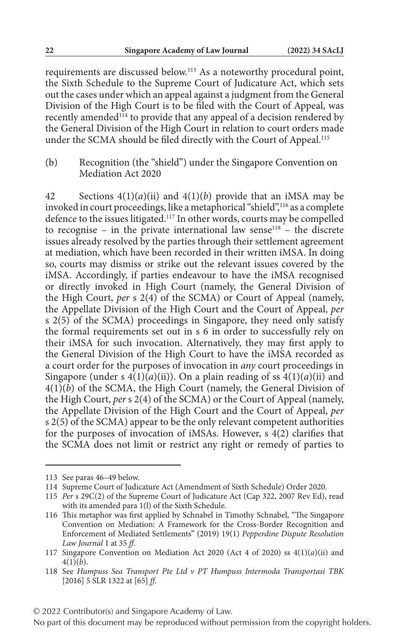requirements are discussed below.113 As a noteworthy procedural point, the Sixth Schedule to the Supreme Court of Judicature Act, which sets out the cases under which an appeal against a judgment from the General Division of the High Court is to be filed with the Court of Appeal, was recently amended<sup>114</sup> to provide that any appeal of a decision rendered by the General Division of the High Court in relation to court orders made under the SCMA should be filed directly with the Court of Appeal.<sup>115</sup>

(b) Recognition (the "shield") under the Singapore Convention on Mediation Act 2020

42 Sections 4(1)(*a*)(ii) and 4(1)(*b*) provide that an iMSA may be invoked in court proceedings, like a metaphorical "shield",116 as a complete defence to the issues litigated.<sup>117</sup> In other words, courts may be compelled to recognise – in the private international law sense<sup>118</sup> – the discrete issues already resolved by the parties through their settlement agreement at mediation, which have been recorded in their written iMSA. In doing so, courts may dismiss or strike out the relevant issues covered by the iMSA. Accordingly, if parties endeavour to have the iMSA recognised or directly invoked in High Court (namely, the General Division of the High Court, *per* s 2(4) of the SCMA) or Court of Appeal (namely, the Appellate Division of the High Court and the Court of Appeal, *per* s 2(5) of the SCMA) proceedings in Singapore, they need only satisfy the formal requirements set out in s 6 in order to successfully rely on their iMSA for such invocation. Alternatively, they may first apply to the General Division of the High Court to have the iMSA recorded as a court order for the purposes of invocation in *any* court proceedings in Singapore (under s  $4(1)(a)(ii)$ ). On a plain reading of ss  $4(1)(a)(ii)$  and  $4(1)(b)$  of the SCMA, the High Court (namely, the General Division of the High Court, *per* s 2(4) of the SCMA) or the Court of Appeal (namely, the Appellate Division of the High Court and the Court of Appeal, *per* s 2(5) of the SCMA) appear to be the only relevant competent authorities for the purposes of invocation of iMSAs. However, s 4(2) clarifies that the SCMA does not limit or restrict any right or remedy of parties to

<sup>113</sup> See paras 46–49 below.

<sup>114</sup> Supreme Court of Judicature Act (Amendment of Sixth Schedule) Order 2020.

<sup>115</sup> *Per* s 29C(2) of the Supreme Court of Judicature Act (Cap 322, 2007 Rev Ed), read with its amended para 1(l) of the Sixth Schedule.

<sup>116</sup> This metaphor was first applied by Schnabel in Timothy Schnabel, "The Singapore Convention on Mediation: A Framework for the Cross-Border Recognition and Enforcement of Mediated Settlements" (2019) 19(1) *Pepperdine Dispute Resolution Law Journal* 1 at 35 *ff*.

<sup>117</sup> Singapore Convention on Mediation Act 2020 (Act 4 of 2020) ss 4(1)(*a*)(ii) and  $4(1)(b)$ .

<sup>118</sup> See *Humpuss Sea Transport Pte Ltd v PT Humpuss Intermoda Transportasi TBK* [2016] 5 SLR 1322 at [65] *ff*.

<sup>© 2022</sup> Contributor(s) and Singapore Academy of Law.

No part of this document may be reproduced without permission from the copyright holders.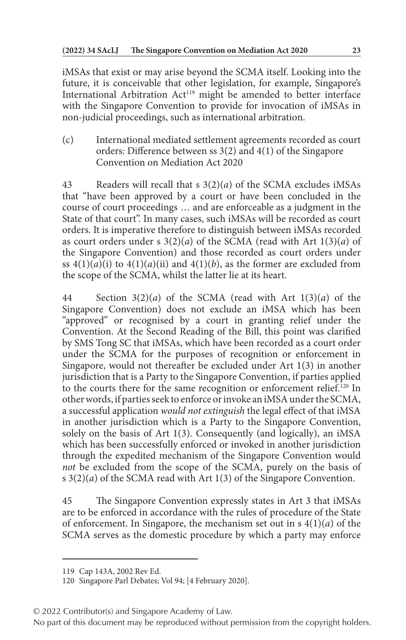iMSAs that exist or may arise beyond the SCMA itself. Looking into the future, it is conceivable that other legislation, for example, Singapore's International Arbitration Act<sup>119</sup> might be amended to better interface with the Singapore Convention to provide for invocation of iMSAs in non-judicial proceedings, such as international arbitration.

(c) International mediated settlement agreements recorded as court orders: Difference between ss 3(2) and 4(1) of the Singapore Convention on Mediation Act 2020

43 Readers will recall that s 3(2)(*a*) of the SCMA excludes iMSAs that "have been approved by a court or have been concluded in the course of court proceedings … and are enforceable as a judgment in the State of that court". In many cases, such iMSAs will be recorded as court orders. It is imperative therefore to distinguish between iMSAs recorded as court orders under s 3(2)(*a*) of the SCMA (read with Art 1(3)(*a*) of the Singapore Convention) and those recorded as court orders under ss  $4(1)(a)(i)$  to  $4(1)(a)(ii)$  and  $4(1)(b)$ , as the former are excluded from the scope of the SCMA, whilst the latter lie at its heart.

44 Section 3(2)(*a*) of the SCMA (read with Art 1(3)(*a*) of the Singapore Convention) does not exclude an iMSA which has been "approved" or recognised by a court in granting relief under the Convention. At the Second Reading of the Bill, this point was clarified by SMS Tong SC that iMSAs, which have been recorded as a court order under the SCMA for the purposes of recognition or enforcement in Singapore, would not thereafter be excluded under Art 1(3) in another jurisdiction that is a Party to the Singapore Convention, if parties applied to the courts there for the same recognition or enforcement relief.120 In other words, if parties seek to enforce or invoke an iMSA under the SCMA, a successful application *would not extinguish* the legal effect of that iMSA in another jurisdiction which is a Party to the Singapore Convention, solely on the basis of Art 1(3). Consequently (and logically), an iMSA which has been successfully enforced or invoked in another jurisdiction through the expedited mechanism of the Singapore Convention would *not* be excluded from the scope of the SCMA, purely on the basis of s 3(2)(*a*) of the SCMA read with Art 1(3) of the Singapore Convention.

45 The Singapore Convention expressly states in Art 3 that iMSAs are to be enforced in accordance with the rules of procedure of the State of enforcement. In Singapore, the mechanism set out in s 4(1)(*a*) of the SCMA serves as the domestic procedure by which a party may enforce

<sup>119</sup> Cap 143A, 2002 Rev Ed.

<sup>120</sup> Singapore Parl Debates; Vol 94; [4 February 2020].

<sup>© 2022</sup> Contributor(s) and Singapore Academy of Law.

No part of this document may be reproduced without permission from the copyright holders.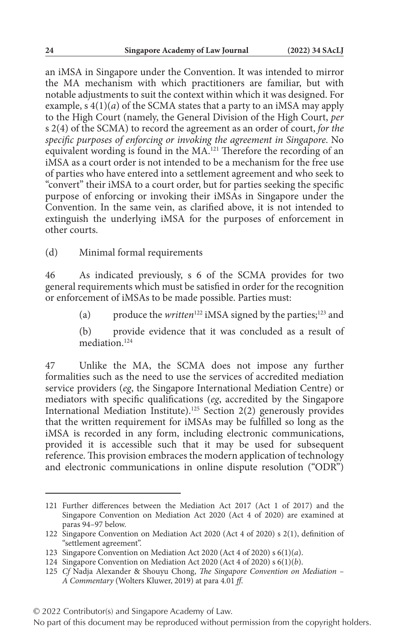an iMSA in Singapore under the Convention. It was intended to mirror the MA mechanism with which practitioners are familiar, but with notable adjustments to suit the context within which it was designed. For example, s 4(1)(*a*) of the SCMA states that a party to an iMSA may apply to the High Court (namely, the General Division of the High Court, *per* s 2(4) of the SCMA) to record the agreement as an order of court, *for the specific purposes of enforcing or invoking the agreement in Singapore*. No equivalent wording is found in the MA.121 Therefore the recording of an iMSA as a court order is not intended to be a mechanism for the free use of parties who have entered into a settlement agreement and who seek to "convert" their iMSA to a court order, but for parties seeking the specific purpose of enforcing or invoking their iMSAs in Singapore under the Convention. In the same vein, as clarified above, it is not intended to extinguish the underlying iMSA for the purposes of enforcement in other courts.

(d) Minimal formal requirements

46 As indicated previously, s 6 of the SCMA provides for two general requirements which must be satisfied in order for the recognition or enforcement of iMSAs to be made possible. Parties must:

(a) produce the *written*<sup>122</sup> iMSA signed by the parties;<sup>123</sup> and

(b) provide evidence that it was concluded as a result of mediation.<sup>124</sup>

47 Unlike the MA, the SCMA does not impose any further formalities such as the need to use the services of accredited mediation service providers (*eg*, the Singapore International Mediation Centre) or mediators with specific qualifications (*eg*, accredited by the Singapore International Mediation Institute).125 Section 2(2) generously provides that the written requirement for iMSAs may be fulfilled so long as the iMSA is recorded in any form, including electronic communications, provided it is accessible such that it may be used for subsequent reference. This provision embraces the modern application of technology and electronic communications in online dispute resolution ("ODR")

<sup>121</sup> Further differences between the Mediation Act 2017 (Act 1 of 2017) and the Singapore Convention on Mediation Act 2020 (Act 4 of 2020) are examined at paras 94–97 below.

<sup>122</sup> Singapore Convention on Mediation Act 2020 (Act 4 of 2020) s 2(1), definition of "settlement agreement".

<sup>123</sup> Singapore Convention on Mediation Act 2020 (Act 4 of 2020) s 6(1)(*a*).

<sup>124</sup> Singapore Convention on Mediation Act 2020 (Act 4 of 2020) s 6(1)(*b*).

<sup>125</sup> *Cf* Nadja Alexander & Shouyu Chong, *The Singapore Convention on Mediation – A Commentary* (Wolters Kluwer, 2019) at para 4.01 *ff*.

<sup>© 2022</sup> Contributor(s) and Singapore Academy of Law.

No part of this document may be reproduced without permission from the copyright holders.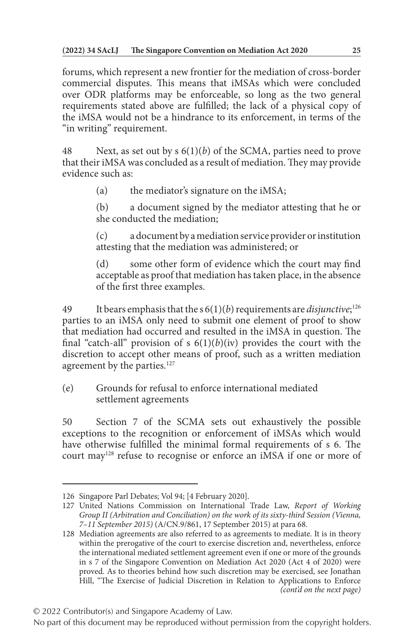forums, which represent a new frontier for the mediation of cross-border commercial disputes. This means that iMSAs which were concluded over ODR platforms may be enforceable, so long as the two general requirements stated above are fulfilled; the lack of a physical copy of the iMSA would not be a hindrance to its enforcement, in terms of the "in writing" requirement.

48 Next, as set out by s 6(1)(*b*) of the SCMA, parties need to prove that their iMSA was concluded as a result of mediation. They may provide evidence such as:

(a) the mediator's signature on the iMSA;

(b) a document signed by the mediator attesting that he or she conducted the mediation;

(c) a document by a mediation service provider or institution attesting that the mediation was administered; or

(d) some other form of evidence which the court may find acceptable as proof that mediation has taken place, in the absence of the first three examples.

49 It bears emphasis that the s 6(1)(*b*) requirements are *disjunctive*; 126 parties to an iMSA only need to submit one element of proof to show that mediation had occurred and resulted in the iMSA in question. The final "catch-all" provision of s  $6(1)(b)(iv)$  provides the court with the discretion to accept other means of proof, such as a written mediation agreement by the parties.<sup>127</sup>

(e) Grounds for refusal to enforce international mediated settlement agreements

50 Section 7 of the SCMA sets out exhaustively the possible exceptions to the recognition or enforcement of iMSAs which would have otherwise fulfilled the minimal formal requirements of s 6. The court may<sup>128</sup> refuse to recognise or enforce an iMSA if one or more of

<sup>126</sup> Singapore Parl Debates; Vol 94; [4 February 2020].

<sup>127</sup> United Nations Commission on International Trade Law, *Report of Working Group II (Arbitration and Conciliation) on the work of its sixty-third Session (Vienna, 7–11 September 2015)* (A/CN.9/861, 17 September 2015) at para 68.

<sup>128</sup> Mediation agreements are also referred to as agreements to mediate. It is in theory within the prerogative of the court to exercise discretion and, nevertheless, enforce the international mediated settlement agreement even if one or more of the grounds in s 7 of the Singapore Convention on Mediation Act 2020 (Act 4 of 2020) were proved. As to theories behind how such discretion may be exercised, see Jonathan Hill, "The Exercise of Judicial Discretion in Relation to Applications to Enforce *(cont'd on the next page)*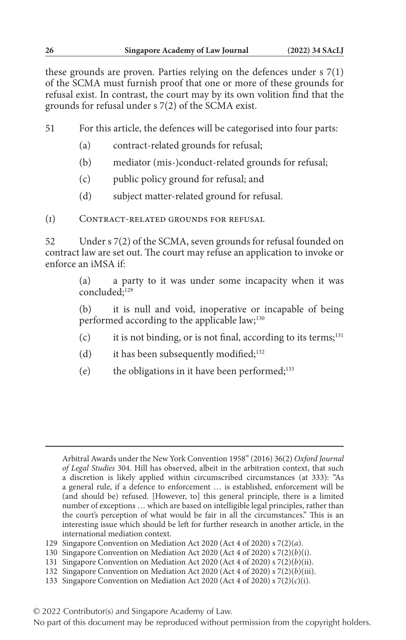these grounds are proven. Parties relying on the defences under s 7(1) of the SCMA must furnish proof that one or more of these grounds for refusal exist. In contrast, the court may by its own volition find that the grounds for refusal under s 7(2) of the SCMA exist.

51 For this article, the defences will be categorised into four parts:

- (a) contract-related grounds for refusal;
- (b) mediator (mis-)conduct-related grounds for refusal;
- (c) public policy ground for refusal; and
- (d) subject matter-related ground for refusal.

(i) Contract-related grounds for refusal

52 Under s 7(2) of the SCMA, seven grounds for refusal founded on contract law are set out. The court may refuse an application to invoke or enforce an iMSA if:

> (a) a party to it was under some incapacity when it was concluded:<sup>129</sup>

> (b) it is null and void, inoperative or incapable of being performed according to the applicable law;<sup>130</sup>

- (c) it is not binding, or is not final, according to its terms; $131$
- (d) it has been subsequently modified; $132$
- (e) the obligations in it have been performed;133

132 Singapore Convention on Mediation Act 2020 (Act 4 of 2020) s 7(2)(*b*)(iii).

Arbitral Awards under the New York Convention 1958" (2016) 36(2) *Oxford Journal of Legal Studies* 304. Hill has observed, albeit in the arbitration context, that such a discretion is likely applied within circumscribed circumstances (at 333): "As a general rule, if a defence to enforcement … is established, enforcement will be (and should be) refused. [However, to] this general principle, there is a limited number of exceptions … which are based on intelligible legal principles, rather than the court's perception of what would be fair in all the circumstances." This is an interesting issue which should be left for further research in another article, in the international mediation context.

<sup>129</sup> Singapore Convention on Mediation Act 2020 (Act 4 of 2020) s 7(2)(*a*).

<sup>130</sup> Singapore Convention on Mediation Act 2020 (Act 4 of 2020) s 7(2)(*b*)(i).

<sup>131</sup> Singapore Convention on Mediation Act 2020 (Act 4 of 2020) s 7(2)(*b*)(ii).

<sup>133</sup> Singapore Convention on Mediation Act 2020 (Act 4 of 2020) s 7(2)(*c*)(i).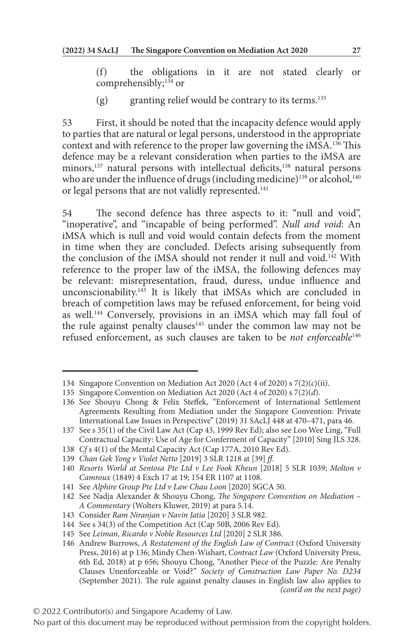(f) the obligations in it are not stated clearly or comprehensibly;<sup>134</sup> or

(g) granting relief would be contrary to its terms.<sup>135</sup>

53 First, it should be noted that the incapacity defence would apply to parties that are natural or legal persons, understood in the appropriate context and with reference to the proper law governing the iMSA.136 This defence may be a relevant consideration when parties to the iMSA are minors, $137$  natural persons with intellectual deficits, $138$  natural persons who are under the influence of drugs (including medicine)<sup>139</sup> or alcohol,<sup>140</sup> or legal persons that are not validly represented.<sup>141</sup>

54 The second defence has three aspects to it: "null and void", "inoperative", and "incapable of being performed". *Null and void*: An iMSA which is null and void would contain defects from the moment in time when they are concluded. Defects arising subsequently from the conclusion of the iMSA should not render it null and void.<sup>142</sup> With reference to the proper law of the iMSA, the following defences may be relevant: misrepresentation, fraud, duress, undue influence and unconscionability. $143$  It is likely that iMSAs which are concluded in breach of competition laws may be refused enforcement, for being void as well.<sup>144</sup> Conversely, provisions in an iMSA which may fall foul of the rule against penalty clauses<sup>145</sup> under the common law may not be refused enforcement, as such clauses are taken to be *not enforceable*<sup>146</sup>

141 See *Alphire Group Pte Ltd v Law Chau Loon* [2020] SGCA 50.

<sup>134</sup> Singapore Convention on Mediation Act 2020 (Act 4 of 2020) s 7(2)(*c*)(ii).

<sup>135</sup> Singapore Convention on Mediation Act 2020 (Act 4 of 2020) s 7(2)(*d*).

<sup>136</sup> See Shouyu Chong & Felix Steffek, "Enforcement of International Settlement Agreements Resulting from Mediation under the Singapore Convention: Private International Law Issues in Perspective" (2019) 31 SAcLJ 448 at 470–471, para 46.

<sup>137</sup> See s 35(1) of the Civil Law Act (Cap 43, 1999 Rev Ed); also see Loo Wee Ling, "Full Contractual Capacity: Use of Age for Conferment of Capacity" [2010] Sing JLS 328.

<sup>138</sup> *Cf* s 4(1) of the Mental Capacity Act (Cap 177A, 2010 Rev Ed).

<sup>139</sup> *Chan Gek Yong v Violet Netto* [2019] 3 SLR 1218 at [39] *ff*.

<sup>140</sup> *Resorts World at Sentosa Pte Ltd v Lee Fook Kheun* [2018] 5 SLR 1039; *Molton v Camroux* (1849) 4 Exch 17 at 19; 154 ER 1107 at 1108.

<sup>142</sup> See Nadja Alexander & Shouyu Chong, *The Singapore Convention on Mediation – A Commentary* (Wolters Kluwer, 2019) at para 5.14.

<sup>143</sup> Consider *Ram Niranjan v Navin Jatia* [2020] 3 SLR 982.

<sup>144</sup> See s 34(3) of the Competition Act (Cap 50B, 2006 Rev Ed).

<sup>145</sup> See *Leiman, Ricardo v Noble Resources Ltd* [2020] 2 SLR 386.

<sup>146</sup> Andrew Burrows, *A Restatement of the English Law of Contract* (Oxford University Press, 2016) at p 136; Mindy Chen-Wishart, *Contract Law* (Oxford University Press, 6th Ed, 2018) at p 656; Shouyu Chong, "Another Piece of the Puzzle: Are Penalty Clauses Unenforceable or Void?" *Society of Construction Law Paper No. D234* (September 2021). The rule against penalty clauses in English law also applies to *(cont'd on the next page)*

No part of this document may be reproduced without permission from the copyright holders.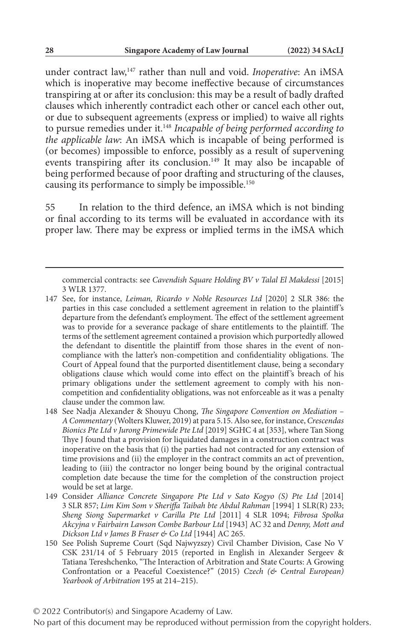under contract law,147 rather than null and void. *Inoperative*: An iMSA which is inoperative may become ineffective because of circumstances transpiring at or after its conclusion: this may be a result of badly drafted clauses which inherently contradict each other or cancel each other out, or due to subsequent agreements (express or implied) to waive all rights to pursue remedies under it.148 *Incapable of being performed according to the applicable law*: An iMSA which is incapable of being performed is (or becomes) impossible to enforce, possibly as a result of supervening events transpiring after its conclusion.<sup>149</sup> It may also be incapable of being performed because of poor drafting and structuring of the clauses, causing its performance to simply be impossible.150

55 In relation to the third defence, an iMSA which is not binding or final according to its terms will be evaluated in accordance with its proper law. There may be express or implied terms in the iMSA which

© 2022 Contributor(s) and Singapore Academy of Law.

commercial contracts: see *Cavendish Square Holding BV v Talal El Makdessi* [2015] 3 WLR 1377.

<sup>147</sup> See, for instance, *Leiman, Ricardo v Noble Resources Ltd* [2020] 2 SLR 386: the parties in this case concluded a settlement agreement in relation to the plaintiff's departure from the defendant's employment. The effect of the settlement agreement was to provide for a severance package of share entitlements to the plaintiff. The terms of the settlement agreement contained a provision which purportedly allowed the defendant to disentitle the plaintiff from those shares in the event of noncompliance with the latter's non-competition and confidentiality obligations. The Court of Appeal found that the purported disentitlement clause, being a secondary obligations clause which would come into effect on the plaintiff's breach of his primary obligations under the settlement agreement to comply with his noncompetition and confidentiality obligations, was not enforceable as it was a penalty clause under the common law.

<sup>148</sup> See Nadja Alexander & Shouyu Chong, *The Singapore Convention on Mediation – A Commentary* (Wolters Kluwer, 2019) at para 5.15. Also see, for instance, *Crescendas Bionics Pte Ltd v Jurong Primewide Pte Ltd* [2019] SGHC 4 at [353], where Tan Siong Thye J found that a provision for liquidated damages in a construction contract was inoperative on the basis that (i) the parties had not contracted for any extension of time provisions and (ii) the employer in the contract commits an act of prevention, leading to (iii) the contractor no longer being bound by the original contractual completion date because the time for the completion of the construction project would be set at large.

<sup>149</sup> Consider *Alliance Concrete Singapore Pte Ltd v Sato Kogyo (S) Pte Ltd* [2014] 3 SLR 857; *Lim Kim Som v Sheriffa Taibah bte Abdul Rahman* [1994] 1 SLR(R) 233; *Sheng Siong Supermarket v Carilla Pte Ltd* [2011] 4 SLR 1094; *Fibrosa Spolka Akcyjna v Fairbairn Lawson Combe Barbour Ltd* [1943] AC 32 and *Denny, Mott and Dickson Ltd v James B Fraser & Co Ltd* [1944] AC 265.

<sup>150</sup> See Polish Supreme Court (Sqd Najwyzszy) Civil Chamber Division, Case No V CSK 231/14 of 5 February 2015 (reported in English in Alexander Sergeev & Tatiana Tereshchenko, "The Interaction of Arbitration and State Courts: A Growing Confrontation or a Peaceful Coexistence?" (2015) *Czech (& Central European) Yearbook of Arbitration* 195 at 214–215).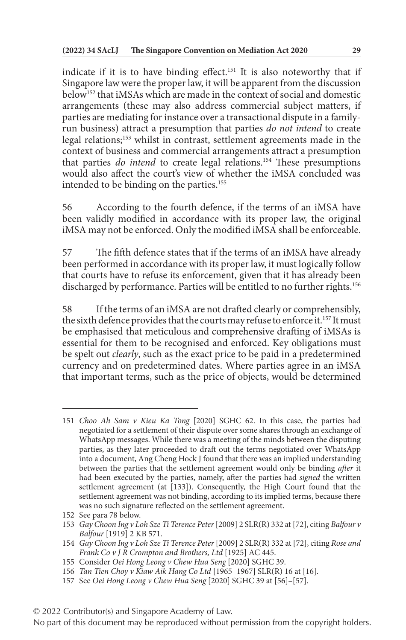indicate if it is to have binding effect.<sup>151</sup> It is also noteworthy that if Singapore law were the proper law, it will be apparent from the discussion below152 that iMSAs which are made in the context of social and domestic arrangements (these may also address commercial subject matters, if parties are mediating for instance over a transactional dispute in a familyrun business) attract a presumption that parties *do not intend* to create legal relations;153 whilst in contrast, settlement agreements made in the context of business and commercial arrangements attract a presumption that parties *do intend* to create legal relations.<sup>154</sup> These presumptions would also affect the court's view of whether the iMSA concluded was intended to be binding on the parties.<sup>155</sup>

56 According to the fourth defence, if the terms of an iMSA have been validly modified in accordance with its proper law, the original iMSA may not be enforced. Only the modified iMSA shall be enforceable.

57 The fifth defence states that if the terms of an iMSA have already been performed in accordance with its proper law, it must logically follow that courts have to refuse its enforcement, given that it has already been discharged by performance. Parties will be entitled to no further rights.<sup>156</sup>

58 If the terms of an iMSA are not drafted clearly or comprehensibly, the sixth defence provides that the courts may refuse to enforce it.<sup>157</sup> It must be emphasised that meticulous and comprehensive drafting of iMSAs is essential for them to be recognised and enforced. Key obligations must be spelt out *clearly*, such as the exact price to be paid in a predetermined currency and on predetermined dates. Where parties agree in an iMSA that important terms, such as the price of objects, would be determined

<sup>151</sup> *Choo Ah Sam v Kieu Ka Tong* [2020] SGHC 62. In this case, the parties had negotiated for a settlement of their dispute over some shares through an exchange of WhatsApp messages. While there was a meeting of the minds between the disputing parties, as they later proceeded to draft out the terms negotiated over WhatsApp into a document, Ang Cheng Hock J found that there was an implied understanding between the parties that the settlement agreement would only be binding *after* it had been executed by the parties, namely, after the parties had *signed* the written settlement agreement (at [133]). Consequently, the High Court found that the settlement agreement was not binding, according to its implied terms, because there was no such signature reflected on the settlement agreement.

<sup>152</sup> See para 78 below.

<sup>153</sup> *Gay Choon Ing v Loh Sze Ti Terence Peter* [2009] 2 SLR(R) 332 at [72], citing *Balfour v Balfour* [1919] 2 KB 571.

<sup>154</sup> *Gay Choon Ing v Loh Sze Ti Terence Peter* [2009] 2 SLR(R) 332 at [72], citing *Rose and Frank Co v J R Crompton and Brothers, Ltd* [1925] AC 445.

<sup>155</sup> Consider *Oei Hong Leong v Chew Hua Seng* [2020] SGHC 39.

<sup>156</sup> *Tan Tien Choy v Kiaw Aik Hang Co Ltd* [1965–1967] SLR(R) 16 at [16].

<sup>157</sup> See *Oei Hong Leong v Chew Hua Seng* [2020] SGHC 39 at [56]–[57].

<sup>© 2022</sup> Contributor(s) and Singapore Academy of Law.

No part of this document may be reproduced without permission from the copyright holders.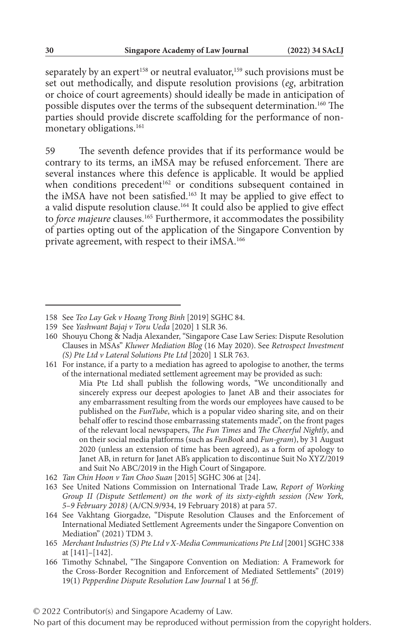separately by an expert<sup>158</sup> or neutral evaluator,<sup>159</sup> such provisions must be set out methodically, and dispute resolution provisions (*eg*, arbitration or choice of court agreements) should ideally be made in anticipation of possible disputes over the terms of the subsequent determination.<sup>160</sup> The parties should provide discrete scaffolding for the performance of nonmonetary obligations.<sup>161</sup>

59 The seventh defence provides that if its performance would be contrary to its terms, an iMSA may be refused enforcement. There are several instances where this defence is applicable. It would be applied when conditions precedent<sup>162</sup> or conditions subsequent contained in the iMSA have not been satisfied.<sup>163</sup> It may be applied to give effect to a valid dispute resolution clause.164 It could also be applied to give effect to *force majeure* clauses.165 Furthermore, it accommodates the possibility of parties opting out of the application of the Singapore Convention by private agreement, with respect to their iMSA.<sup>166</sup>

161 For instance, if a party to a mediation has agreed to apologise to another, the terms of the international mediated settlement agreement may be provided as such:

Mia Pte Ltd shall publish the following words, "We unconditionally and sincerely express our deepest apologies to Janet AB and their associates for any embarrassment resulting from the words our employees have caused to be published on the *FunTube*, which is a popular video sharing site, and on their behalf offer to rescind those embarrassing statements made", on the front pages of the relevant local newspapers, *The Fun Times* and *The Cheerful Nightly*, and on their social media platforms (such as *FunBook* and *Fun-gram*), by 31 August 2020 (unless an extension of time has been agreed), as a form of apology to Janet AB, in return for Janet AB's application to discontinue Suit No XYZ/2019 and Suit No ABC/2019 in the High Court of Singapore.

162 *Tan Chin Hoon v Tan Choo Suan* [2015] SGHC 306 at [24].

- 164 See Vakhtang Giorgadze, "Dispute Resolution Clauses and the Enforcement of International Mediated Settlement Agreements under the Singapore Convention on Mediation" (2021) TDM 3.
- 165 *Merchant Industries (S) Pte Ltd v X-Media Communications Pte Ltd* [2001] SGHC 338 at [141]–[142].
- 166 Timothy Schnabel, "The Singapore Convention on Mediation: A Framework for the Cross-Border Recognition and Enforcement of Mediated Settlements" (2019) 19(1) *Pepperdine Dispute Resolution Law Journal* 1 at 56 *ff*.

© 2022 Contributor(s) and Singapore Academy of Law.

<sup>158</sup> See *Teo Lay Gek v Hoang Trong Binh* [2019] SGHC 84.

<sup>159</sup> See *Yashwant Bajaj v Toru Ueda* [2020] 1 SLR 36.

<sup>160</sup> Shouyu Chong & Nadja Alexander, "Singapore Case Law Series: Dispute Resolution Clauses in MSAs" *Kluwer Mediation Blog* (16 May 2020). See *Retrospect Investment (S) Pte Ltd v Lateral Solutions Pte Ltd* [2020] 1 SLR 763.

<sup>163</sup> See United Nations Commission on International Trade Law, *Report of Working Group II (Dispute Settlement) on the work of its sixty-eighth session (New York, 5–9 February 2018)* (A/CN.9/934, 19 February 2018) at para 57.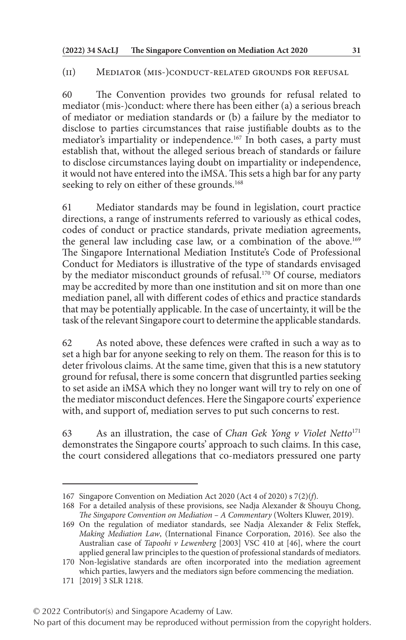#### (ii) Mediator (mis-)conduct-related grounds for refusal

60 The Convention provides two grounds for refusal related to mediator (mis-)conduct: where there has been either (a) a serious breach of mediator or mediation standards or (b) a failure by the mediator to disclose to parties circumstances that raise justifiable doubts as to the mediator's impartiality or independence.<sup>167</sup> In both cases, a party must establish that, without the alleged serious breach of standards or failure to disclose circumstances laying doubt on impartiality or independence, it would not have entered into the iMSA. This sets a high bar for any party seeking to rely on either of these grounds.<sup>168</sup>

61 Mediator standards may be found in legislation, court practice directions, a range of instruments referred to variously as ethical codes, codes of conduct or practice standards, private mediation agreements, the general law including case law, or a combination of the above.<sup>169</sup> The Singapore International Mediation Institute's Code of Professional Conduct for Mediators is illustrative of the type of standards envisaged by the mediator misconduct grounds of refusal.170 Of course, mediators may be accredited by more than one institution and sit on more than one mediation panel, all with different codes of ethics and practice standards that may be potentially applicable. In the case of uncertainty, it will be the task of the relevant Singapore court to determine the applicable standards.

62 As noted above, these defences were crafted in such a way as to set a high bar for anyone seeking to rely on them. The reason for this is to deter frivolous claims. At the same time, given that this is a new statutory ground for refusal, there is some concern that disgruntled parties seeking to set aside an iMSA which they no longer want will try to rely on one of the mediator misconduct defences. Here the Singapore courts' experience with, and support of, mediation serves to put such concerns to rest.

63 As an illustration, the case of *Chan Gek Yong v Violet Netto*<sup>171</sup> demonstrates the Singapore courts' approach to such claims. In this case, the court considered allegations that co-mediators pressured one party

© 2022 Contributor(s) and Singapore Academy of Law.

<sup>167</sup> Singapore Convention on Mediation Act 2020 (Act 4 of 2020) s 7(2)(*f*).

<sup>168</sup> For a detailed analysis of these provisions, see Nadja Alexander & Shouyu Chong, *The Singapore Convention on Mediation – A Commentary* (Wolters Kluwer, 2019).

<sup>169</sup> On the regulation of mediator standards, see Nadja Alexander & Felix Steffek, *Making Mediation Law*, (International Finance Corporation, 2016). See also the Australian case of *Tapoohi v Lewenberg* [2003] VSC 410 at [46], where the court applied general law principles to the question of professional standards of mediators.

<sup>170</sup> Non-legislative standards are often incorporated into the mediation agreement which parties, lawyers and the mediators sign before commencing the mediation.

<sup>171</sup> [2019] 3 SLR 1218.

No part of this document may be reproduced without permission from the copyright holders.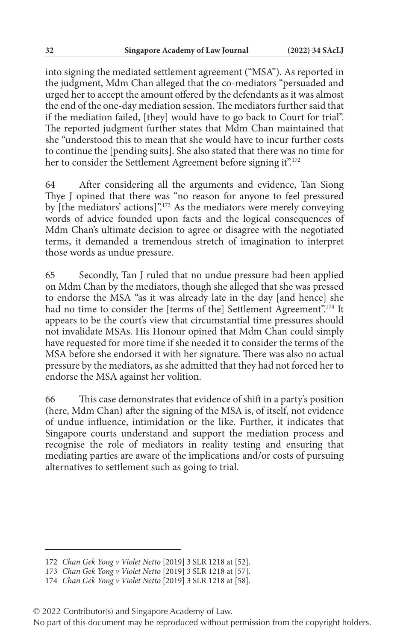into signing the mediated settlement agreement ("MSA"). As reported in the judgment, Mdm Chan alleged that the co-mediators "persuaded and urged her to accept the amount offered by the defendants as it was almost the end of the one-day mediation session. The mediators further said that if the mediation failed, [they] would have to go back to Court for trial". The reported judgment further states that Mdm Chan maintained that she "understood this to mean that she would have to incur further costs to continue the [pending suits]. She also stated that there was no time for her to consider the Settlement Agreement before signing it".<sup>172</sup>

64 After considering all the arguments and evidence, Tan Siong Thye J opined that there was "no reason for anyone to feel pressured by [the mediators' actions]".173 As the mediators were merely conveying words of advice founded upon facts and the logical consequences of Mdm Chan's ultimate decision to agree or disagree with the negotiated terms, it demanded a tremendous stretch of imagination to interpret those words as undue pressure.

65 Secondly, Tan J ruled that no undue pressure had been applied on Mdm Chan by the mediators, though she alleged that she was pressed to endorse the MSA "as it was already late in the day [and hence] she had no time to consider the [terms of the] Settlement Agreement".<sup>174</sup> It appears to be the court's view that circumstantial time pressures should not invalidate MSAs. His Honour opined that Mdm Chan could simply have requested for more time if she needed it to consider the terms of the MSA before she endorsed it with her signature. There was also no actual pressure by the mediators, as she admitted that they had not forced her to endorse the MSA against her volition.

66 This case demonstrates that evidence of shift in a party's position (here, Mdm Chan) after the signing of the MSA is, of itself, not evidence of undue influence, intimidation or the like. Further, it indicates that Singapore courts understand and support the mediation process and recognise the role of mediators in reality testing and ensuring that mediating parties are aware of the implications and/or costs of pursuing alternatives to settlement such as going to trial.

<sup>172</sup> *Chan Gek Yong v Violet Netto* [2019] 3 SLR 1218 at [52].

<sup>173</sup> *Chan Gek Yong v Violet Netto* [2019] 3 SLR 1218 at [57].

<sup>174</sup> *Chan Gek Yong v Violet Netto* [2019] 3 SLR 1218 at [58].

<sup>© 2022</sup> Contributor(s) and Singapore Academy of Law.

No part of this document may be reproduced without permission from the copyright holders.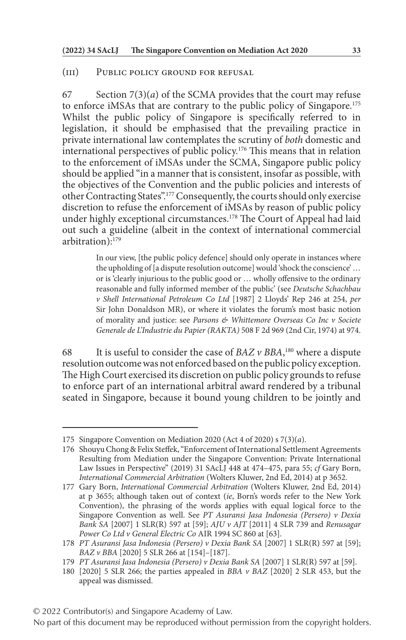#### (iii) Public policy ground for refusal

67 Section  $7(3)(a)$  of the SCMA provides that the court may refuse to enforce iMSAs that are contrary to the public policy of Singapore.175 Whilst the public policy of Singapore is specifically referred to in legislation, it should be emphasised that the prevailing practice in private international law contemplates the scrutiny of *both* domestic and international perspectives of public policy.176 This means that in relation to the enforcement of iMSAs under the SCMA, Singapore public policy should be applied "in a manner that is consistent, insofar as possible, with the objectives of the Convention and the public policies and interests of other Contracting States".177 Consequently, the courts should only exercise discretion to refuse the enforcement of iMSAs by reason of public policy under highly exceptional circumstances.<sup>178</sup> The Court of Appeal had laid out such a guideline (albeit in the context of international commercial arbitration):179

> In our view, [the public policy defence] should only operate in instances where the upholding of [a dispute resolution outcome] would 'shock the conscience' … or is 'clearly injurious to the public good or … wholly offensive to the ordinary reasonable and fully informed member of the public' (see *Deutsche Schachbau v Shell International Petroleum Co Ltd* [1987] 2 Lloyds' Rep 246 at 254, *per* Sir John Donaldson MR), or where it violates the forum's most basic notion of morality and justice: see *Parsons & Whittemore Overseas Co Inc v Societe Generale de L'Industrie du Papier (RAKTA)* 508 F 2d 969 (2nd Cir, 1974) at 974.

68 It is useful to consider the case of  $BAZ \nu BBA$ ,<sup>180</sup> where a dispute resolution outcome was not enforced based on the public policy exception. The High Court exercised its discretion on public policy grounds to refuse to enforce part of an international arbitral award rendered by a tribunal seated in Singapore, because it bound young children to be jointly and

<sup>175</sup> Singapore Convention on Mediation 2020 (Act 4 of 2020) s 7(3)(*a*).

<sup>176</sup> Shouyu Chong & Felix Steffek, "Enforcement of International Settlement Agreements Resulting from Mediation under the Singapore Convention: Private International Law Issues in Perspective" (2019) 31 SAcLJ 448 at 474–475, para 55; *cf* Gary Born, *International Commercial Arbitration* (Wolters Kluwer, 2nd Ed, 2014) at p 3652.

<sup>177</sup> Gary Born, *International Commercial Arbitration* (Wolters Kluwer, 2nd Ed, 2014) at p 3655; although taken out of context (*ie*, Born's words refer to the New York Convention), the phrasing of the words applies with equal logical force to the Singapore Convention as well. See *PT Asuransi Jasa Indonesia (Persero) v Dexia Bank SA* [2007] 1 SLR(R) 597 at [59]; *AJU v AJT* [2011] 4 SLR 739 and *Renusagar Power Co Ltd v General Electric Co* AIR 1994 SC 860 at [63].

<sup>178</sup> *PT Asuransi Jasa Indonesia (Persero) v Dexia Bank SA* [2007] 1 SLR(R) 597 at [59]; *BAZ v BBA* [2020] 5 SLR 266 at [154]–[187].

<sup>179</sup> *PT Asuransi Jasa Indonesia (Persero) v Dexia Bank SA* [2007] 1 SLR(R) 597 at [59].

<sup>180</sup> [2020] 5 SLR 266; the parties appealed in *BBA v BAZ* [2020] 2 SLR 453, but the appeal was dismissed.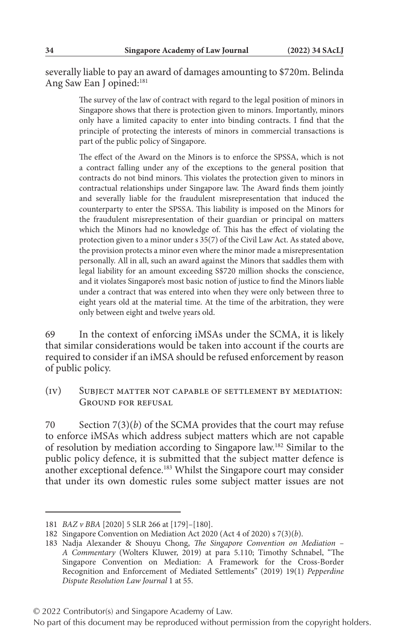severally liable to pay an award of damages amounting to \$720m. Belinda Ang Saw Ean J opined:<sup>181</sup>

> The survey of the law of contract with regard to the legal position of minors in Singapore shows that there is protection given to minors. Importantly, minors only have a limited capacity to enter into binding contracts. I find that the principle of protecting the interests of minors in commercial transactions is part of the public policy of Singapore.

> The effect of the Award on the Minors is to enforce the SPSSA, which is not a contract falling under any of the exceptions to the general position that contracts do not bind minors. This violates the protection given to minors in contractual relationships under Singapore law. The Award finds them jointly and severally liable for the fraudulent misrepresentation that induced the counterparty to enter the SPSSA. This liability is imposed on the Minors for the fraudulent misrepresentation of their guardian or principal on matters which the Minors had no knowledge of. This has the effect of violating the protection given to a minor under s 35(7) of the Civil Law Act. As stated above, the provision protects a minor even where the minor made a misrepresentation personally. All in all, such an award against the Minors that saddles them with legal liability for an amount exceeding S\$720 million shocks the conscience, and it violates Singapore's most basic notion of justice to find the Minors liable under a contract that was entered into when they were only between three to eight years old at the material time. At the time of the arbitration, they were only between eight and twelve years old.

69 In the context of enforcing iMSAs under the SCMA, it is likely that similar considerations would be taken into account if the courts are required to consider if an iMSA should be refused enforcement by reason of public policy.

(iv) Subject matter not capable of settlement by mediation: GROUND FOR REFUSAL

70 Section 7(3)(*b*) of the SCMA provides that the court may refuse to enforce iMSAs which address subject matters which are not capable of resolution by mediation according to Singapore law.182 Similar to the public policy defence, it is submitted that the subject matter defence is another exceptional defence.183 Whilst the Singapore court may consider that under its own domestic rules some subject matter issues are not

<sup>181</sup> *BAZ v BBA* [2020] 5 SLR 266 at [179]–[180].

<sup>182</sup> Singapore Convention on Mediation Act 2020 (Act 4 of 2020) s 7(3)(*b*).

<sup>183</sup> Nadja Alexander & Shouyu Chong, *The Singapore Convention on Mediation – A Commentary* (Wolters Kluwer, 2019) at para 5.110; Timothy Schnabel, "The Singapore Convention on Mediation: A Framework for the Cross-Border Recognition and Enforcement of Mediated Settlements" (2019) 19(1) *Pepperdine Dispute Resolution Law Journal* 1 at 55.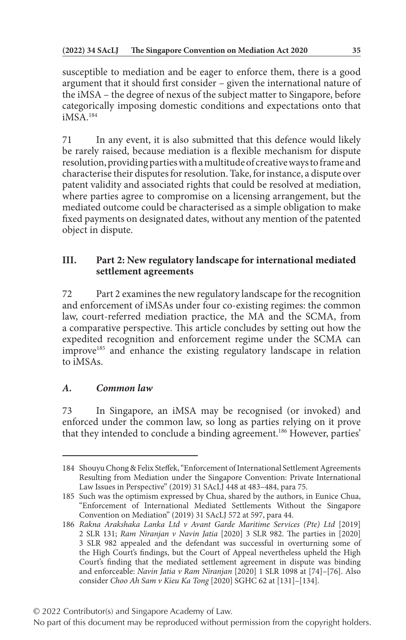susceptible to mediation and be eager to enforce them, there is a good argument that it should first consider – given the international nature of the iMSA – the degree of nexus of the subject matter to Singapore, before categorically imposing domestic conditions and expectations onto that iMSA.184

71 In any event, it is also submitted that this defence would likely be rarely raised, because mediation is a flexible mechanism for dispute resolution, providing parties with a multitude of creative ways to frame and characterise their disputes for resolution. Take, for instance, a dispute over patent validity and associated rights that could be resolved at mediation, where parties agree to compromise on a licensing arrangement, but the mediated outcome could be characterised as a simple obligation to make fixed payments on designated dates, without any mention of the patented object in dispute.

# **III. Part 2: New regulatory landscape for international mediated settlement agreements**

72 Part 2 examines the new regulatory landscape for the recognition and enforcement of iMSAs under four co-existing regimes: the common law, court-referred mediation practice, the MA and the SCMA, from a comparative perspective. This article concludes by setting out how the expedited recognition and enforcement regime under the SCMA can improve<sup>185</sup> and enhance the existing regulatory landscape in relation to iMSAs.

# *A. Common law*

73 In Singapore, an iMSA may be recognised (or invoked) and enforced under the common law, so long as parties relying on it prove that they intended to conclude a binding agreement.186 However, parties'

<sup>184</sup> Shouyu Chong & Felix Steffek, "Enforcement of International Settlement Agreements Resulting from Mediation under the Singapore Convention: Private International Law Issues in Perspective" (2019) 31 SAcLJ 448 at 483–484, para 75.

<sup>185</sup> Such was the optimism expressed by Chua, shared by the authors, in Eunice Chua, "Enforcement of International Mediated Settlements Without the Singapore Convention on Mediation" (2019) 31 SAcLJ 572 at 597, para 44.

<sup>186</sup> *Rakna Arakshaka Lanka Ltd v Avant Garde Maritime Services (Pte) Ltd* [2019] 2 SLR 131; *Ram Niranjan v Navin Jatia* [2020] 3 SLR 982. The parties in [2020] 3 SLR 982 appealed and the defendant was successful in overturning some of the High Court's findings, but the Court of Appeal nevertheless upheld the High Court's finding that the mediated settlement agreement in dispute was binding and enforceable: *Navin Jatia v Ram Niranjan* [2020] 1 SLR 1098 at [74]–[76]. Also consider *Choo Ah Sam v Kieu Ka Tong* [2020] SGHC 62 at [131]–[134].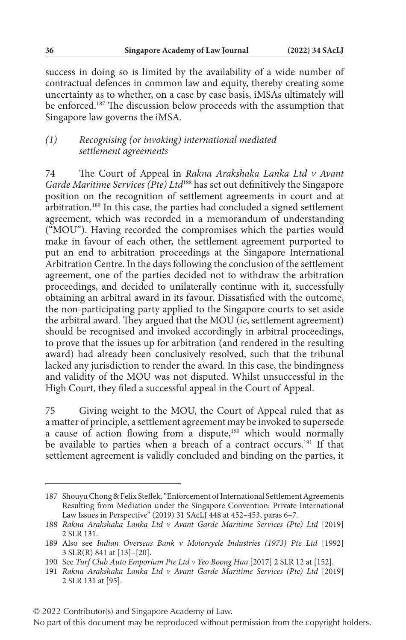success in doing so is limited by the availability of a wide number of contractual defences in common law and equity, thereby creating some uncertainty as to whether, on a case by case basis, iMSAs ultimately will be enforced.187 The discussion below proceeds with the assumption that Singapore law governs the iMSA.

### *(1) Recognising (or invoking) international mediated settlement agreements*

74 The Court of Appeal in *Rakna Arakshaka Lanka Ltd v Avant Garde Maritime Services (Pte) Ltd*188 has set out definitively the Singapore position on the recognition of settlement agreements in court and at arbitration.189 In this case, the parties had concluded a signed settlement agreement, which was recorded in a memorandum of understanding ("MOU"). Having recorded the compromises which the parties would make in favour of each other, the settlement agreement purported to put an end to arbitration proceedings at the Singapore International Arbitration Centre. In the days following the conclusion of the settlement agreement, one of the parties decided not to withdraw the arbitration proceedings, and decided to unilaterally continue with it, successfully obtaining an arbitral award in its favour. Dissatisfied with the outcome, the non-participating party applied to the Singapore courts to set aside the arbitral award. They argued that the MOU (*ie*, settlement agreement) should be recognised and invoked accordingly in arbitral proceedings, to prove that the issues up for arbitration (and rendered in the resulting award) had already been conclusively resolved, such that the tribunal lacked any jurisdiction to render the award. In this case, the bindingness and validity of the MOU was not disputed. Whilst unsuccessful in the High Court, they filed a successful appeal in the Court of Appeal.

75 Giving weight to the MOU, the Court of Appeal ruled that as a matter of principle, a settlement agreement may be invoked to supersede a cause of action flowing from a dispute, $190$  which would normally be available to parties when a breach of a contract occurs.<sup>191</sup> If that settlement agreement is validly concluded and binding on the parties, it

<sup>187</sup> Shouyu Chong & Felix Steffek, "Enforcement of International Settlement Agreements Resulting from Mediation under the Singapore Convention: Private International Law Issues in Perspective" (2019) 31 SAcLJ 448 at 452–453, paras 6–7.

<sup>188</sup> *Rakna Arakshaka Lanka Ltd v Avant Garde Maritime Services (Pte) Ltd* [2019] 2 SLR 131.

<sup>189</sup> Also see *Indian Overseas Bank v Motorcycle Industries (1973) Pte Ltd* [1992] 3 SLR(R) 841 at [13]–[20].

<sup>190</sup> See *Turf Club Auto Emporium Pte Ltd v Yeo Boong Hua* [2017] 2 SLR 12 at [152].

<sup>191</sup> *Rakna Arakshaka Lanka Ltd v Avant Garde Maritime Services (Pte) Ltd* [2019] 2 SLR 131 at [95].

<sup>© 2022</sup> Contributor(s) and Singapore Academy of Law.

No part of this document may be reproduced without permission from the copyright holders.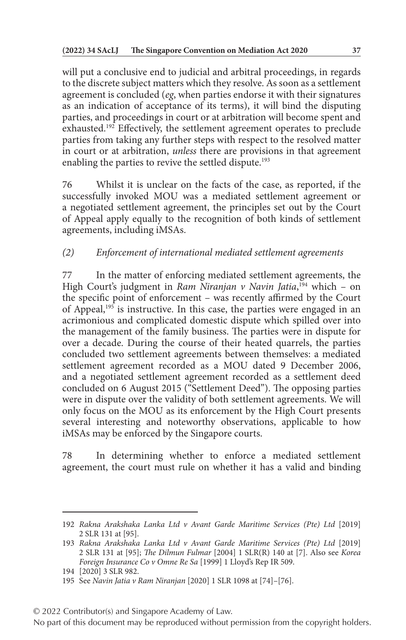will put a conclusive end to judicial and arbitral proceedings, in regards to the discrete subject matters which they resolve. As soon as a settlement agreement is concluded (*eg*, when parties endorse it with their signatures as an indication of acceptance of its terms), it will bind the disputing parties, and proceedings in court or at arbitration will become spent and exhausted.192 Effectively, the settlement agreement operates to preclude parties from taking any further steps with respect to the resolved matter in court or at arbitration, *unless* there are provisions in that agreement enabling the parties to revive the settled dispute.<sup>193</sup>

76 Whilst it is unclear on the facts of the case, as reported, if the successfully invoked MOU was a mediated settlement agreement or a negotiated settlement agreement, the principles set out by the Court of Appeal apply equally to the recognition of both kinds of settlement agreements, including iMSAs.

# *(2) Enforcement of international mediated settlement agreements*

77 In the matter of enforcing mediated settlement agreements, the High Court's judgment in *Ram Niranjan v Navin Jatia*, 194 which – on the specific point of enforcement – was recently affirmed by the Court of Appeal,<sup>195</sup> is instructive. In this case, the parties were engaged in an acrimonious and complicated domestic dispute which spilled over into the management of the family business. The parties were in dispute for over a decade. During the course of their heated quarrels, the parties concluded two settlement agreements between themselves: a mediated settlement agreement recorded as a MOU dated 9 December 2006, and a negotiated settlement agreement recorded as a settlement deed concluded on 6 August 2015 ("Settlement Deed"). The opposing parties were in dispute over the validity of both settlement agreements. We will only focus on the MOU as its enforcement by the High Court presents several interesting and noteworthy observations, applicable to how iMSAs may be enforced by the Singapore courts.

78 In determining whether to enforce a mediated settlement agreement, the court must rule on whether it has a valid and binding

<sup>192</sup> *Rakna Arakshaka Lanka Ltd v Avant Garde Maritime Services (Pte) Ltd* [2019] 2 SLR 131 at [95].

<sup>193</sup> *Rakna Arakshaka Lanka Ltd v Avant Garde Maritime Services (Pte) Ltd* [2019] 2 SLR 131 at [95]; *The Dilmun Fulmar* [2004] 1 SLR(R) 140 at [7]. Also see *Korea Foreign Insurance Co v Omne Re Sa* [1999] 1 Lloyd's Rep IR 509.

<sup>194</sup> [2020] 3 SLR 982.

<sup>195</sup> See *Navin Jatia v Ram Niranjan* [2020] 1 SLR 1098 at [74]–[76].

<sup>© 2022</sup> Contributor(s) and Singapore Academy of Law.

No part of this document may be reproduced without permission from the copyright holders.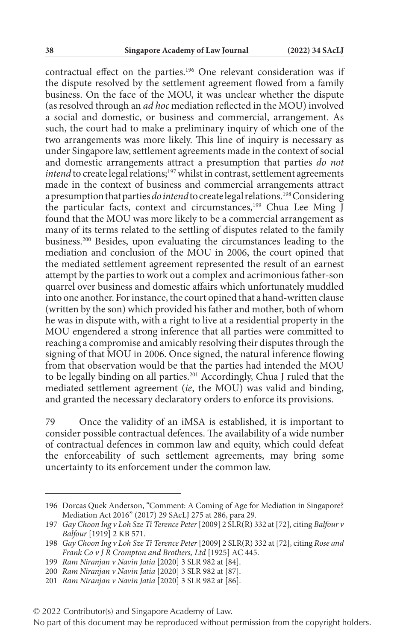contractual effect on the parties.196 One relevant consideration was if the dispute resolved by the settlement agreement flowed from a family business. On the face of the MOU, it was unclear whether the dispute (as resolved through an *ad hoc* mediation reflected in the MOU) involved a social and domestic, or business and commercial, arrangement. As such, the court had to make a preliminary inquiry of which one of the two arrangements was more likely. This line of inquiry is necessary as under Singapore law, settlement agreements made in the context of social and domestic arrangements attract a presumption that parties *do not intend* to create legal relations;<sup>197</sup> whilst in contrast, settlement agreements made in the context of business and commercial arrangements attract a presumption that parties *do intend* to create legal relations.198 Considering the particular facts, context and circumstances,<sup>199</sup> Chua Lee Ming  $\check{J}$ found that the MOU was more likely to be a commercial arrangement as many of its terms related to the settling of disputes related to the family business.200 Besides, upon evaluating the circumstances leading to the mediation and conclusion of the MOU in 2006, the court opined that the mediated settlement agreement represented the result of an earnest attempt by the parties to work out a complex and acrimonious father-son quarrel over business and domestic affairs which unfortunately muddled into one another. For instance, the court opined that a hand-written clause (written by the son) which provided his father and mother, both of whom he was in dispute with, with a right to live at a residential property in the MOU engendered a strong inference that all parties were committed to reaching a compromise and amicably resolving their disputes through the signing of that MOU in 2006. Once signed, the natural inference flowing from that observation would be that the parties had intended the MOU to be legally binding on all parties.201 Accordingly, Chua J ruled that the mediated settlement agreement (*ie*, the MOU) was valid and binding, and granted the necessary declaratory orders to enforce its provisions.

79 Once the validity of an iMSA is established, it is important to consider possible contractual defences. The availability of a wide number of contractual defences in common law and equity, which could defeat the enforceability of such settlement agreements, may bring some uncertainty to its enforcement under the common law.

<sup>196</sup> Dorcas Quek Anderson, "Comment: A Coming of Age for Mediation in Singapore? Mediation Act 2016" (2017) 29 SAcLJ 275 at 286, para 29.

<sup>197</sup> *Gay Choon Ing v Loh Sze Ti Terence Peter* [2009] 2 SLR(R) 332 at [72], citing *Balfour v Balfour* [1919] 2 KB 571.

<sup>198</sup> *Gay Choon Ing v Loh Sze Ti Terence Peter* [2009] 2 SLR(R) 332 at [72], citing *Rose and Frank Co v J R Crompton and Brothers, Ltd* [1925] AC 445.

<sup>199</sup> *Ram Niranjan v Navin Jatia* [2020] 3 SLR 982 at [84].

<sup>200</sup> *Ram Niranjan v Navin Jatia* [2020] 3 SLR 982 at [87].

<sup>201</sup> *Ram Niranjan v Navin Jatia* [2020] 3 SLR 982 at [86].

<sup>© 2022</sup> Contributor(s) and Singapore Academy of Law.

No part of this document may be reproduced without permission from the copyright holders.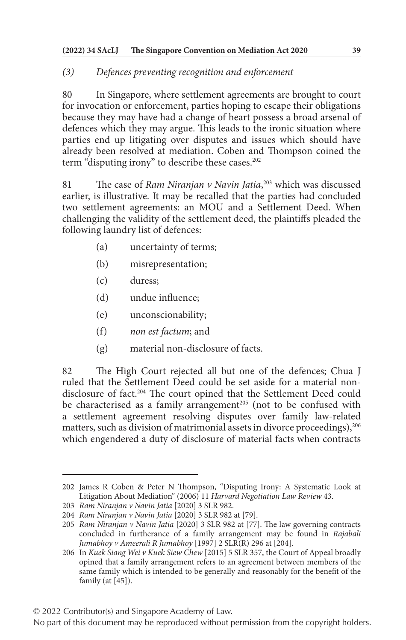### *(3) Defences preventing recognition and enforcement*

80 In Singapore, where settlement agreements are brought to court for invocation or enforcement, parties hoping to escape their obligations because they may have had a change of heart possess a broad arsenal of defences which they may argue. This leads to the ironic situation where parties end up litigating over disputes and issues which should have already been resolved at mediation. Coben and Thompson coined the term "disputing irony" to describe these cases.<sup>202</sup>

81 The case of *Ram Niranjan v Navin Jatia*, 203 which was discussed earlier, is illustrative. It may be recalled that the parties had concluded two settlement agreements: an MOU and a Settlement Deed. When challenging the validity of the settlement deed, the plaintiffs pleaded the following laundry list of defences:

- (a) uncertainty of terms;
- (b) misrepresentation;
- (c) duress;
- (d) undue influence;
- (e) unconscionability;
- (f) *non est factum*; and
- (g) material non-disclosure of facts.

82 The High Court rejected all but one of the defences; Chua J ruled that the Settlement Deed could be set aside for a material nondisclosure of fact.<sup>204</sup> The court opined that the Settlement Deed could be characterised as a family arrangement<sup>205</sup> (not to be confused with a settlement agreement resolving disputes over family law-related matters, such as division of matrimonial assets in divorce proceedings), <sup>206</sup> which engendered a duty of disclosure of material facts when contracts

<sup>202</sup> James R Coben & Peter N Thompson, "Disputing Irony: A Systematic Look at Litigation About Mediation" (2006) 11 *Harvard Negotiation Law Review* 43.

<sup>203</sup> *Ram Niranjan v Navin Jatia* [2020] 3 SLR 982.

<sup>204</sup> *Ram Niranjan v Navin Jatia* [2020] 3 SLR 982 at [79].

<sup>205</sup> *Ram Niranjan v Navin Jatia* [2020] 3 SLR 982 at [77]. The law governing contracts concluded in furtherance of a family arrangement may be found in *Rajabali Jumabhoy v Ameerali R Jumabhoy* [1997] 2 SLR(R) 296 at [204].

<sup>206</sup> In *Kuek Siang Wei v Kuek Siew Chew* [2015] 5 SLR 357, the Court of Appeal broadly opined that a family arrangement refers to an agreement between members of the same family which is intended to be generally and reasonably for the benefit of the family (at [45]).

No part of this document may be reproduced without permission from the copyright holders.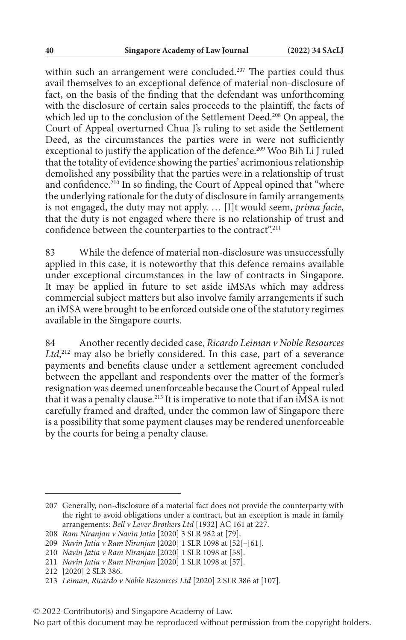within such an arrangement were concluded.<sup>207</sup> The parties could thus avail themselves to an exceptional defence of material non-disclosure of fact, on the basis of the finding that the defendant was unforthcoming with the disclosure of certain sales proceeds to the plaintiff, the facts of which led up to the conclusion of the Settlement Deed.<sup>208</sup> On appeal, the Court of Appeal overturned Chua J's ruling to set aside the Settlement Deed, as the circumstances the parties were in were not sufficiently exceptional to justify the application of the defence.<sup>209</sup> Woo Bih Li J ruled that the totality of evidence showing the parties' acrimonious relationship demolished any possibility that the parties were in a relationship of trust and confidence.<sup>210</sup> In so finding, the Court of Appeal opined that "where the underlying rationale for the duty of disclosure in family arrangements is not engaged, the duty may not apply. … [I]t would seem, *prima facie*, that the duty is not engaged where there is no relationship of trust and confidence between the counterparties to the contract".<sup>211</sup>

83 While the defence of material non-disclosure was unsuccessfully applied in this case, it is noteworthy that this defence remains available under exceptional circumstances in the law of contracts in Singapore. It may be applied in future to set aside iMSAs which may address commercial subject matters but also involve family arrangements if such an iMSA were brought to be enforced outside one of the statutory regimes available in the Singapore courts.

84 Another recently decided case, *Ricardo Leiman v Noble Resources Ltd*, 212 may also be briefly considered. In this case, part of a severance payments and benefits clause under a settlement agreement concluded between the appellant and respondents over the matter of the former's resignation was deemed unenforceable because the Court of Appeal ruled that it was a penalty clause.<sup>213</sup> It is imperative to note that if an iMSA is not carefully framed and drafted, under the common law of Singapore there is a possibility that some payment clauses may be rendered unenforceable by the courts for being a penalty clause.

<sup>207</sup> Generally, non-disclosure of a material fact does not provide the counterparty with the right to avoid obligations under a contract, but an exception is made in family arrangements: *Bell v Lever Brothers Ltd* [1932] AC 161 at 227.

<sup>208</sup> *Ram Niranjan v Navin Jatia* [2020] 3 SLR 982 at [79].

<sup>209</sup> *Navin Jatia v Ram Niranjan* [2020] 1 SLR 1098 at [52]–[61].

<sup>210</sup> *Navin Jatia v Ram Niranjan* [2020] 1 SLR 1098 at [58].

<sup>211</sup> *Navin Jatia v Ram Niranjan* [2020] 1 SLR 1098 at [57].

<sup>212</sup> [2020] 2 SLR 386.

<sup>213</sup> *Leiman, Ricardo v Noble Resources Ltd* [2020] 2 SLR 386 at [107].

<sup>© 2022</sup> Contributor(s) and Singapore Academy of Law.

No part of this document may be reproduced without permission from the copyright holders.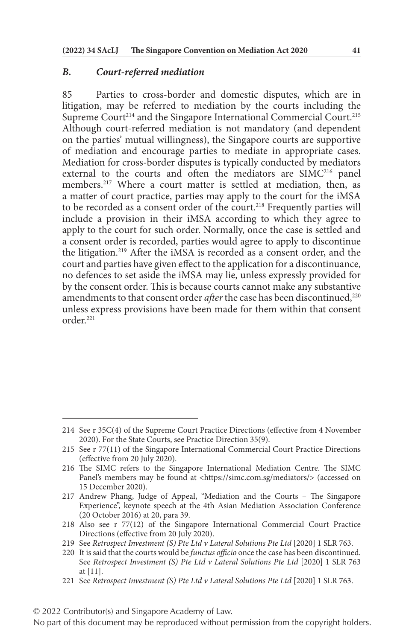#### *B. Court-referred mediation*

85 Parties to cross-border and domestic disputes, which are in litigation, may be referred to mediation by the courts including the Supreme Court<sup>214</sup> and the Singapore International Commercial Court.<sup>215</sup> Although court-referred mediation is not mandatory (and dependent on the parties' mutual willingness), the Singapore courts are supportive of mediation and encourage parties to mediate in appropriate cases. Mediation for cross-border disputes is typically conducted by mediators external to the courts and often the mediators are SIMC<sup>216</sup> panel members.217 Where a court matter is settled at mediation, then, as a matter of court practice, parties may apply to the court for the iMSA to be recorded as a consent order of the court.<sup>218</sup> Frequently parties will include a provision in their iMSA according to which they agree to apply to the court for such order. Normally, once the case is settled and a consent order is recorded, parties would agree to apply to discontinue the litigation.219 After the iMSA is recorded as a consent order, and the court and parties have given effect to the application for a discontinuance, no defences to set aside the iMSA may lie, unless expressly provided for by the consent order. This is because courts cannot make any substantive amendments to that consent order *after* the case has been discontinued,<sup>220</sup> unless express provisions have been made for them within that consent order.221

221 See *Retrospect Investment (S) Pte Ltd v Lateral Solutions Pte Ltd* [2020] 1 SLR 763.

<sup>214</sup> See r 35C(4) of the Supreme Court Practice Directions (effective from 4 November 2020). For the State Courts, see Practice Direction 35(9).

<sup>215</sup> See r 77(11) of the Singapore International Commercial Court Practice Directions (effective from 20 July 2020).

<sup>216</sup> The SIMC refers to the Singapore International Mediation Centre. The SIMC Panel's members may be found at <https://simc.com.sg/mediators/> (accessed on 15 December 2020).

<sup>217</sup> Andrew Phang, Judge of Appeal, "Mediation and the Courts – The Singapore Experience", keynote speech at the 4th Asian Mediation Association Conference (20 October 2016) at 20, para 39.

<sup>218</sup> Also see r 77(12) of the Singapore International Commercial Court Practice Directions (effective from 20 July 2020).

<sup>219</sup> See *Retrospect Investment (S) Pte Ltd v Lateral Solutions Pte Ltd* [2020] 1 SLR 763.

<sup>220</sup> It is said that the courts would be *functus officio* once the case has been discontinued. See *Retrospect Investment (S) Pte Ltd v Lateral Solutions Pte Ltd* [2020] 1 SLR 763 at [11].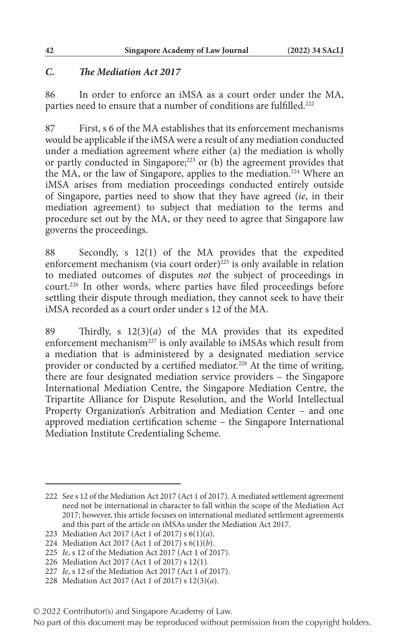### *C. The Mediation Act 2017*

86 In order to enforce an iMSA as a court order under the MA, parties need to ensure that a number of conditions are fulfilled.<sup>222</sup>

87 First, s 6 of the MA establishes that its enforcement mechanisms would be applicable if the iMSA were a result of any mediation conducted under a mediation agreement where either (a) the mediation is wholly or partly conducted in Singapore;<sup>223</sup> or (b) the agreement provides that the MA, or the law of Singapore, applies to the mediation.<sup>224</sup> Where an iMSA arises from mediation proceedings conducted entirely outside of Singapore, parties need to show that they have agreed (*ie*, in their mediation agreement) to subject that mediation to the terms and procedure set out by the MA, or they need to agree that Singapore law governs the proceedings.

88 Secondly, s 12(1) of the MA provides that the expedited enforcement mechanism (via court order) $^{225}$  is only available in relation to mediated outcomes of disputes *not* the subject of proceedings in court.226 In other words, where parties have filed proceedings before settling their dispute through mediation, they cannot seek to have their iMSA recorded as a court order under s 12 of the MA.

89 Thirdly, s 12(3)(*a*) of the MA provides that its expedited enforcement mechanism<sup>227</sup> is only available to iMSAs which result from a mediation that is administered by a designated mediation service provider or conducted by a certified mediator.<sup>228</sup> At the time of writing, there are four designated mediation service providers – the Singapore International Mediation Centre, the Singapore Mediation Centre, the Tripartite Alliance for Dispute Resolution, and the World Intellectual Property Organization's Arbitration and Mediation Center – and one approved mediation certification scheme – the Singapore International Mediation Institute Credentialing Scheme.

<sup>222</sup> See s 12 of the Mediation Act 2017 (Act 1 of 2017). A mediated settlement agreement need not be international in character to fall within the scope of the Mediation Act 2017; however, this article focuses on international mediated settlement agreements and this part of the article on iMSAs under the Mediation Act 2017.

<sup>223</sup> Mediation Act 2017 (Act 1 of 2017) s 6(1)(*a*).

<sup>224</sup> Mediation Act 2017 (Act 1 of 2017) s 6(1)(*b*).

<sup>225</sup> *Ie*, s 12 of the Mediation Act 2017 (Act 1 of 2017).

<sup>226</sup> Mediation Act 2017 (Act 1 of 2017) s 12(1).

<sup>227</sup> *Ie*, s 12 of the Mediation Act 2017 (Act 1 of 2017).

<sup>228</sup> Mediation Act 2017 (Act 1 of 2017) s 12(3)(*a*).

<sup>© 2022</sup> Contributor(s) and Singapore Academy of Law.

No part of this document may be reproduced without permission from the copyright holders.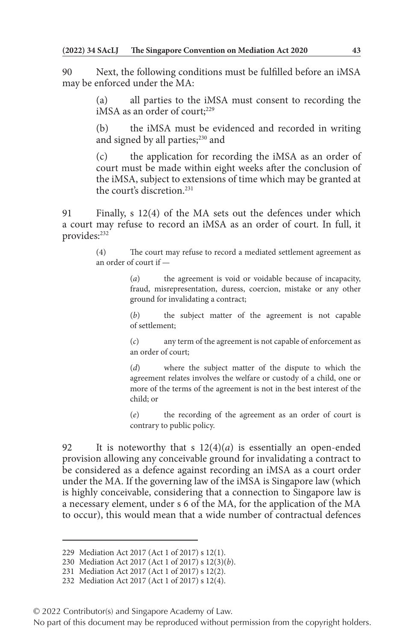90 Next, the following conditions must be fulfilled before an iMSA may be enforced under the MA:

> (a) all parties to the iMSA must consent to recording the iMSA as an order of court;<sup>229</sup>

> (b) the iMSA must be evidenced and recorded in writing and signed by all parties;<sup>230</sup> and

> (c) the application for recording the iMSA as an order of court must be made within eight weeks after the conclusion of the iMSA, subject to extensions of time which may be granted at the court's discretion.231

91 Finally, s 12(4) of the MA sets out the defences under which a court may refuse to record an iMSA as an order of court. In full, it provides:<sup>232</sup>

> (4) The court may refuse to record a mediated settlement agreement as an order of court if —

> > (*a*) the agreement is void or voidable because of incapacity, fraud, misrepresentation, duress, coercion, mistake or any other ground for invalidating a contract;

> > (*b*) the subject matter of the agreement is not capable of settlement;

> > (*c*) any term of the agreement is not capable of enforcement as an order of court;

> > (*d*) where the subject matter of the dispute to which the agreement relates involves the welfare or custody of a child, one or more of the terms of the agreement is not in the best interest of the child; or

> > (*e*) the recording of the agreement as an order of court is contrary to public policy.

92 It is noteworthy that s  $12(4)(a)$  is essentially an open-ended provision allowing any conceivable ground for invalidating a contract to be considered as a defence against recording an iMSA as a court order under the MA. If the governing law of the iMSA is Singapore law (which is highly conceivable, considering that a connection to Singapore law is a necessary element, under s 6 of the MA, for the application of the MA to occur), this would mean that a wide number of contractual defences

<sup>229</sup> Mediation Act 2017 (Act 1 of 2017) s 12(1).

<sup>230</sup> Mediation Act 2017 (Act 1 of 2017) s 12(3)(*b*).

<sup>231</sup> Mediation Act 2017 (Act 1 of 2017) s 12(2).

<sup>232</sup> Mediation Act 2017 (Act 1 of 2017) s 12(4).

<sup>© 2022</sup> Contributor(s) and Singapore Academy of Law.

No part of this document may be reproduced without permission from the copyright holders.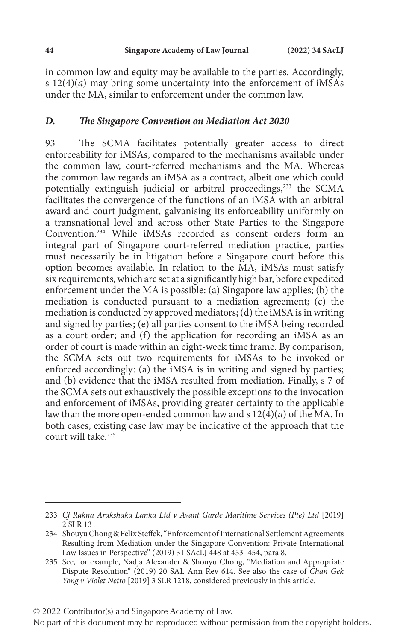in common law and equity may be available to the parties. Accordingly, s 12(4)(*a*) may bring some uncertainty into the enforcement of iMSAs under the MA, similar to enforcement under the common law.

#### *D. The Singapore Convention on Mediation Act 2020*

93 The SCMA facilitates potentially greater access to direct enforceability for iMSAs, compared to the mechanisms available under the common law, court-referred mechanisms and the MA. Whereas the common law regards an iMSA as a contract, albeit one which could potentially extinguish judicial or arbitral proceedings,<sup>233</sup> the SCMA facilitates the convergence of the functions of an iMSA with an arbitral award and court judgment, galvanising its enforceability uniformly on a transnational level and across other State Parties to the Singapore Convention.234 While iMSAs recorded as consent orders form an integral part of Singapore court-referred mediation practice, parties must necessarily be in litigation before a Singapore court before this option becomes available. In relation to the MA, iMSAs must satisfy six requirements, which are set at a significantly high bar, before expedited enforcement under the MA is possible: (a) Singapore law applies; (b) the mediation is conducted pursuant to a mediation agreement; (c) the mediation is conducted by approved mediators; (d) the iMSA is in writing and signed by parties; (e) all parties consent to the iMSA being recorded as a court order; and (f) the application for recording an iMSA as an order of court is made within an eight-week time frame. By comparison, the SCMA sets out two requirements for iMSAs to be invoked or enforced accordingly: (a) the iMSA is in writing and signed by parties; and (b) evidence that the iMSA resulted from mediation. Finally, s 7 of the SCMA sets out exhaustively the possible exceptions to the invocation and enforcement of iMSAs, providing greater certainty to the applicable law than the more open-ended common law and s 12(4)(*a*) of the MA. In both cases, existing case law may be indicative of the approach that the court will take.<sup>235</sup>

<sup>233</sup> *Cf Rakna Arakshaka Lanka Ltd v Avant Garde Maritime Services (Pte) Ltd* [2019] 2 SLR 131.

<sup>234</sup> Shouyu Chong & Felix Steffek, "Enforcement of International Settlement Agreements Resulting from Mediation under the Singapore Convention: Private International Law Issues in Perspective" (2019) 31 SAcLJ 448 at 453–454, para 8.

<sup>235</sup> See, for example, Nadja Alexander & Shouyu Chong, "Mediation and Appropriate Dispute Resolution" (2019) 20 SAL Ann Rev 614. See also the case of *Chan Gek Yong v Violet Netto* [2019] 3 SLR 1218, considered previously in this article.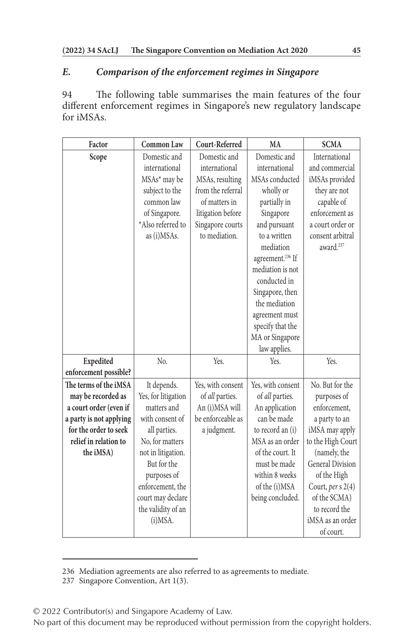# *E. Comparison of the enforcement regimes in Singapore*

94 The following table summarises the main features of the four different enforcement regimes in Singapore's new regulatory landscape for iMSAs.

| Factor                  | <b>Common Law</b>   | Court-Referred    | MA                           | <b>SCMA</b>             |
|-------------------------|---------------------|-------------------|------------------------------|-------------------------|
| Scope                   | Domestic and        | Domestic and      | Domestic and                 | International           |
|                         | international       | international     | international                | and commercial          |
|                         | MSAs* may be        | MSAs, resulting   | MSAs conducted               | iMSAs provided          |
|                         | subject to the      | from the referral | wholly or                    | they are not            |
|                         | common law          | of matters in     | partially in                 | capable of              |
|                         | of Singapore.       | litigation before | Singapore                    | enforcement as          |
|                         | *Also referred to   | Singapore courts  | and pursuant                 | a court order or        |
|                         | as (i)MSAs.         | to mediation.     | to a written                 | consent arbitral        |
|                         |                     |                   | mediation                    | award. <sup>237</sup>   |
|                         |                     |                   | agreement. <sup>236</sup> If |                         |
|                         |                     |                   | mediation is not             |                         |
|                         |                     |                   | conducted in                 |                         |
|                         |                     |                   | Singapore, then              |                         |
|                         |                     |                   | the mediation                |                         |
|                         |                     |                   | agreement must               |                         |
|                         |                     |                   | specify that the             |                         |
|                         |                     |                   | MA or Singapore              |                         |
|                         |                     |                   | law applies.                 |                         |
| Expedited               | No.                 | Yes.              | Yes.                         | Yes.                    |
| enforcement possible?   |                     |                   |                              |                         |
| The terms of the iMSA   | It depends.         | Yes, with consent | Yes, with consent            | No. But for the         |
| may be recorded as      | Yes, for litigation | of all parties.   | of all parties.              | purposes of             |
| a court order (even if  | matters and         | An (i)MSA will    | An application               | enforcement,            |
| a party is not applying | with consent of     | be enforceable as | can be made                  | a party to an           |
| for the order to seek   | all parties.        | a judgment.       | to record an (i)             | iMSA may apply          |
| relief in relation to   | No, for matters     |                   | MSA as an order              | to the High Court       |
| the iMSA)               | not in litigation.  |                   | of the court. It             | (namely, the            |
|                         | But for the         |                   | must be made                 | <b>General Division</b> |
|                         | purposes of         |                   | within 8 weeks               | of the High             |
|                         | enforcement, the    |                   | of the (i)MSA                | Court, per s $2(4)$     |
|                         | court may declare   |                   | being concluded.             | of the SCMA)            |
|                         | the validity of an  |                   |                              | to record the           |
|                         | (i)MSA.             |                   |                              | iMSA as an order        |
|                         |                     |                   |                              | of court.               |

<sup>236</sup> Mediation agreements are also referred to as agreements to mediate.

© 2022 Contributor(s) and Singapore Academy of Law.

<sup>237</sup> Singapore Convention, Art 1(3).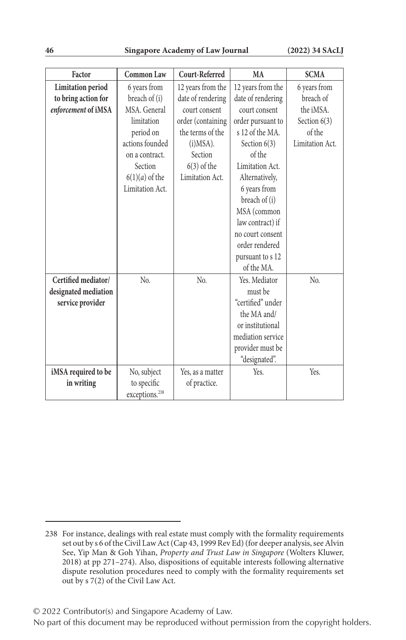| Factor               | Common Law                 | Court-Referred    | MA                | <b>SCMA</b>     |
|----------------------|----------------------------|-------------------|-------------------|-----------------|
| Limitation period    | 6 years from               | 12 years from the | 12 years from the | 6 years from    |
| to bring action for  | breach of (i)              | date of rendering | date of rendering | breach of       |
| enforcement of iMSA  | MSA. General               | court consent     | court consent     | the iMSA.       |
|                      | limitation                 | order (containing | order pursuant to | Section $6(3)$  |
|                      | period on                  | the terms of the  | s 12 of the MA.   | of the          |
|                      | actions founded            | $(i)MSA$ ).       | Section $6(3)$    | Limitation Act. |
|                      | on a contract.             | Section           | of the            |                 |
|                      | Section                    | $6(3)$ of the     | Limitation Act.   |                 |
|                      | $6(1)(a)$ of the           | Limitation Act.   | Alternatively,    |                 |
|                      | Limitation Act.            |                   | 6 years from      |                 |
|                      |                            |                   | breach of (i)     |                 |
|                      |                            |                   | MSA (common       |                 |
|                      |                            |                   | law contract) if  |                 |
|                      |                            |                   | no court consent  |                 |
|                      |                            |                   | order rendered    |                 |
|                      |                            |                   | pursuant to s 12  |                 |
|                      |                            |                   | of the MA.        |                 |
| Certified mediator/  | No.                        | No.               | Yes. Mediator     | No.             |
| designated mediation |                            |                   | must be           |                 |
| service provider     |                            |                   | "certified" under |                 |
|                      |                            |                   | the MA and/       |                 |
|                      |                            |                   | or institutional  |                 |
|                      |                            |                   | mediation service |                 |
|                      |                            |                   | provider must be  |                 |
|                      |                            |                   | "designated".     |                 |
| iMSA required to be  | No, subject                | Yes, as a matter  | Yes.              | Yes.            |
| in writing           | to specific                | of practice.      |                   |                 |
|                      | exceptions. <sup>238</sup> |                   |                   |                 |

<sup>238</sup> For instance, dealings with real estate must comply with the formality requirements set out by s 6 of the Civil Law Act (Cap 43, 1999 Rev Ed) (for deeper analysis, see Alvin See, Yip Man & Goh Yihan, *Property and Trust Law in Singapore* (Wolters Kluwer, 2018) at pp 271–274). Also, dispositions of equitable interests following alternative dispute resolution procedures need to comply with the formality requirements set out by s 7(2) of the Civil Law Act.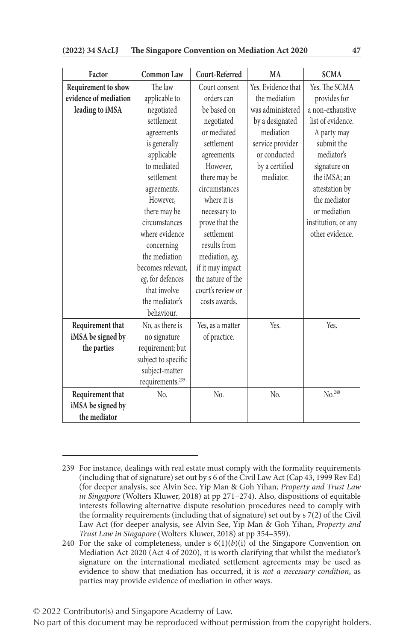| Factor                | Common Law                   | Court-Referred    | MA                 | <b>SCMA</b>         |
|-----------------------|------------------------------|-------------------|--------------------|---------------------|
| Requirement to show   | The law                      | Court consent     | Yes. Evidence that | Yes. The SCMA       |
| evidence of mediation | applicable to                | orders can        | the mediation      | provides for        |
| leading to iMSA       | negotiated                   | be based on       | was administered   | a non-exhaustive    |
|                       | settlement                   | negotiated        | by a designated    | list of evidence.   |
|                       | agreements                   | or mediated       | mediation          | A party may         |
|                       | is generally                 | settlement        | service provider   | submit the          |
|                       | applicable                   | agreements.       | or conducted       | mediator's          |
|                       | to mediated                  | However,          | by a certified     | signature on        |
|                       | settlement                   | there may be      | mediator.          | the iMSA; an        |
|                       | agreements.                  | circumstances     |                    | attestation by      |
|                       | However,                     | where it is       |                    | the mediator        |
|                       | there may be                 | necessary to      |                    | or mediation        |
|                       | circumstances                | prove that the    |                    | institution; or any |
|                       | where evidence               | settlement        |                    | other evidence.     |
|                       | concerning                   | results from      |                    |                     |
|                       | the mediation                | mediation, eg,    |                    |                     |
|                       | becomes relevant.            | if it may impact  |                    |                     |
|                       | eg, for defences             | the nature of the |                    |                     |
|                       | that involve                 | court's review or |                    |                     |
|                       | the mediator's               | costs awards.     |                    |                     |
|                       | behaviour.                   |                   |                    |                     |
| Requirement that      | No, as there is              | Yes, as a matter  | Yes.               | Yes.                |
| iMSA be signed by     | no signature                 | of practice.      |                    |                     |
| the parties           | requirement; but             |                   |                    |                     |
|                       | subject to specific          |                   |                    |                     |
|                       | subject-matter               |                   |                    |                     |
|                       | requirements. <sup>239</sup> |                   |                    |                     |
| Requirement that      | No.                          | No.               | No.                | No. <sup>240</sup>  |
| iMSA be signed by     |                              |                   |                    |                     |
| the mediator          |                              |                   |                    |                     |

<sup>239</sup> For instance, dealings with real estate must comply with the formality requirements (including that of signature) set out by s 6 of the Civil Law Act (Cap 43, 1999 Rev Ed) (for deeper analysis, see Alvin See, Yip Man & Goh Yihan, *Property and Trust Law in Singapore* (Wolters Kluwer, 2018) at pp 271–274). Also, dispositions of equitable interests following alternative dispute resolution procedures need to comply with the formality requirements (including that of signature) set out by s 7(2) of the Civil Law Act (for deeper analysis, see Alvin See, Yip Man & Goh Yihan, *Property and Trust Law in Singapore* (Wolters Kluwer, 2018) at pp 354–359).

<sup>240</sup> For the sake of completeness, under s  $6(1)(b)(i)$  of the Singapore Convention on Mediation Act 2020 (Act 4 of 2020), it is worth clarifying that whilst the mediator's signature on the international mediated settlement agreements may be used as evidence to show that mediation has occurred, it is *not a necessary condition*, as parties may provide evidence of mediation in other ways.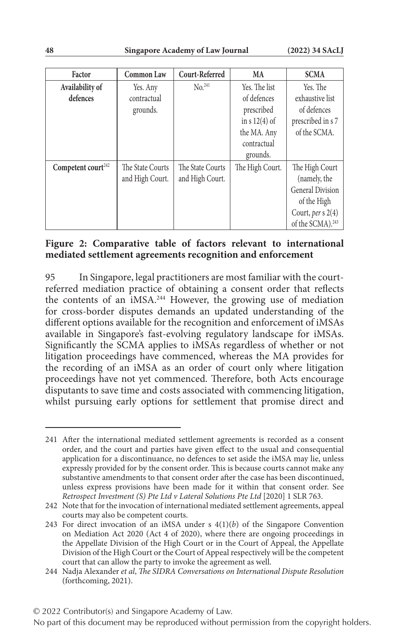| Factor                         | <b>Common Law</b> | Court-Referred     | MA              | <b>SCMA</b>                  |
|--------------------------------|-------------------|--------------------|-----------------|------------------------------|
| Availability of                | Yes. Any          | No. <sup>241</sup> | Yes. The list   | Yes. The                     |
| defences                       | contractual       |                    | of defences     | exhaustive list              |
|                                | grounds.          |                    | prescribed      | of defences                  |
|                                |                   |                    | in $s 12(4)$ of | prescribed in s 7            |
|                                |                   |                    | the MA. Any     | of the SCMA.                 |
|                                |                   |                    | contractual     |                              |
|                                |                   |                    | grounds.        |                              |
| Competent court <sup>242</sup> | The State Courts  | The State Courts   | The High Court. | The High Court               |
|                                | and High Court.   | and High Court.    |                 | (namely, the                 |
|                                |                   |                    |                 | <b>General Division</b>      |
|                                |                   |                    |                 | of the High                  |
|                                |                   |                    |                 | Court, per s 2(4)            |
|                                |                   |                    |                 | of the SCMA). <sup>243</sup> |

### **Figure 2: Comparative table of factors relevant to international mediated settlement agreements recognition and enforcement**

95 In Singapore, legal practitioners are most familiar with the courtreferred mediation practice of obtaining a consent order that reflects the contents of an iMSA.<sup>244</sup> However, the growing use of mediation for cross-border disputes demands an updated understanding of the different options available for the recognition and enforcement of iMSAs available in Singapore's fast-evolving regulatory landscape for iMSAs. Significantly the SCMA applies to iMSAs regardless of whether or not litigation proceedings have commenced, whereas the MA provides for the recording of an iMSA as an order of court only where litigation proceedings have not yet commenced. Therefore, both Acts encourage disputants to save time and costs associated with commencing litigation, whilst pursuing early options for settlement that promise direct and

© 2022 Contributor(s) and Singapore Academy of Law.

<sup>241</sup> After the international mediated settlement agreements is recorded as a consent order, and the court and parties have given effect to the usual and consequential application for a discontinuance, no defences to set aside the iMSA may lie, unless expressly provided for by the consent order. This is because courts cannot make any substantive amendments to that consent order after the case has been discontinued, unless express provisions have been made for it within that consent order. See *Retrospect Investment (S) Pte Ltd v Lateral Solutions Pte Ltd* [2020] 1 SLR 763.

<sup>242</sup> Note that for the invocation of international mediated settlement agreements, appeal courts may also be competent courts.

<sup>243</sup> For direct invocation of an iMSA under s  $4(1)(b)$  of the Singapore Convention on Mediation Act 2020 (Act 4 of 2020), where there are ongoing proceedings in the Appellate Division of the High Court or in the Court of Appeal, the Appellate Division of the High Court or the Court of Appeal respectively will be the competent court that can allow the party to invoke the agreement as well.

<sup>244</sup> Nadja Alexander *et al*, *The SIDRA Conversations on International Dispute Resolution* (forthcoming, 2021).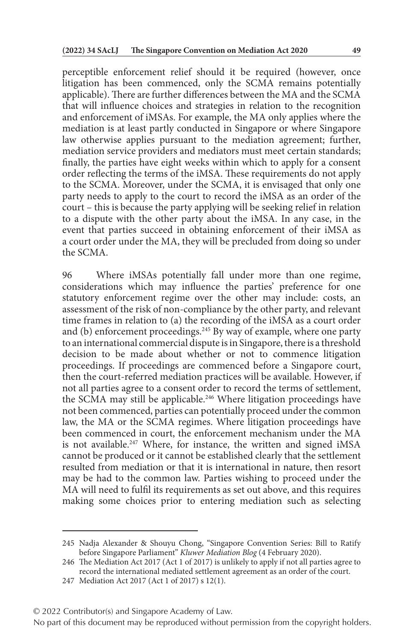perceptible enforcement relief should it be required (however, once litigation has been commenced, only the SCMA remains potentially applicable). There are further differences between the MA and the SCMA that will influence choices and strategies in relation to the recognition and enforcement of iMSAs. For example, the MA only applies where the mediation is at least partly conducted in Singapore or where Singapore law otherwise applies pursuant to the mediation agreement; further, mediation service providers and mediators must meet certain standards; finally, the parties have eight weeks within which to apply for a consent order reflecting the terms of the iMSA. These requirements do not apply to the SCMA. Moreover, under the SCMA, it is envisaged that only one party needs to apply to the court to record the iMSA as an order of the court – this is because the party applying will be seeking relief in relation to a dispute with the other party about the iMSA. In any case, in the event that parties succeed in obtaining enforcement of their iMSA as a court order under the MA, they will be precluded from doing so under the SCMA.

96 Where iMSAs potentially fall under more than one regime, considerations which may influence the parties' preference for one statutory enforcement regime over the other may include: costs, an assessment of the risk of non-compliance by the other party, and relevant time frames in relation to (a) the recording of the iMSA as a court order and (b) enforcement proceedings.<sup>245</sup> By way of example, where one party to an international commercial dispute is in Singapore, there is a threshold decision to be made about whether or not to commence litigation proceedings. If proceedings are commenced before a Singapore court, then the court-referred mediation practices will be available. However, if not all parties agree to a consent order to record the terms of settlement, the SCMA may still be applicable.<sup>246</sup> Where litigation proceedings have not been commenced, parties can potentially proceed under the common law, the MA or the SCMA regimes. Where litigation proceedings have been commenced in court, the enforcement mechanism under the MA is not available.<sup>247</sup> Where, for instance, the written and signed iMSA cannot be produced or it cannot be established clearly that the settlement resulted from mediation or that it is international in nature, then resort may be had to the common law. Parties wishing to proceed under the MA will need to fulfil its requirements as set out above, and this requires making some choices prior to entering mediation such as selecting

<sup>245</sup> Nadja Alexander & Shouyu Chong, "Singapore Convention Series: Bill to Ratify before Singapore Parliament" *Kluwer Mediation Blog* (4 February 2020).

<sup>246</sup> The Mediation Act 2017 (Act 1 of 2017) is unlikely to apply if not all parties agree to record the international mediated settlement agreement as an order of the court.

<sup>247</sup> Mediation Act 2017 (Act 1 of 2017) s 12(1).